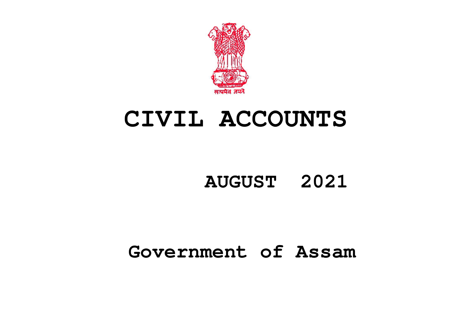

# **CIVIL ACCOUNTS**

## **AUGUST 2021**

## **Government of Assam**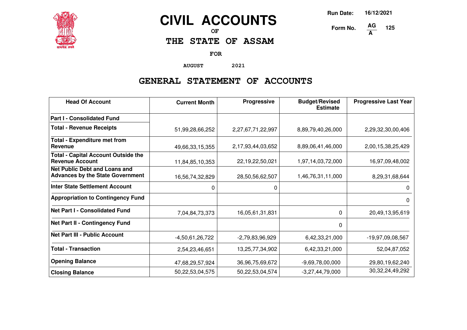

## **CIVIL ACCOUNTS**

**OF**

**THE STATE OF ASSAM**

**FOR**

**AUGUST 2021**

### **GENERAL STATEMENT OF ACCOUNTS**

| <b>Head Of Account</b>                                                          | <b>Current Month</b> | Progressive       | <b>Budget/Revised</b><br><b>Estimate</b> | <b>Progressive Last Year</b> |
|---------------------------------------------------------------------------------|----------------------|-------------------|------------------------------------------|------------------------------|
| <b>Part I - Consolidated Fund</b>                                               |                      |                   |                                          |                              |
| <b>Total - Revenue Receipts</b>                                                 | 51,99,28,66,252      | 2,27,67,71,22,997 | 8,89,79,40,26,000                        | 2,29,32,30,00,406            |
| <b>Total - Expenditure met from</b><br>Revenue                                  | 49,66,33,15,355      | 2,17,93,44,03,652 | 8,89,06,41,46,000                        | 2,00,15,38,25,429            |
| <b>Total - Capital Account Outside the</b><br><b>Revenue Account</b>            | 11,84,85,10,353      | 22,19,22,50,021   | 1,97,14,03,72,000                        | 16,97,09,48,002              |
| <b>Net Public Debt and Loans and</b><br><b>Advances by the State Government</b> | 16,56,74,32,829      | 28,50,56,62,507   | 1,46,76,31,11,000                        | 8,29,31,68,644               |
| <b>Inter State Settlement Account</b>                                           | 0                    | 0                 |                                          | 0                            |
| <b>Appropriation to Contingency Fund</b>                                        |                      |                   |                                          | 0                            |
| <b>Net Part I - Consolidated Fund</b>                                           | 7,04,84,73,373       | 16,05,61,31,831   | $\Omega$                                 | 20,49,13,95,619              |
| Net Part II - Contingency Fund                                                  |                      |                   | $\Omega$                                 |                              |
| <b>Net Part III - Public Account</b>                                            | $-4,50,61,26,722$    | $-2,79,83,96,929$ | 6,42,33,21,000                           | -19,97,09,08,567             |
| <b>Total - Transaction</b>                                                      | 2,54,23,46,651       | 13,25,77,34,902   | 6,42,33,21,000                           | 52,04,87,052                 |
| <b>Opening Balance</b>                                                          | 47,68,29,57,924      | 36,96,75,69,672   | $-9,69,78,00,000$                        | 29,80,19,62,240              |
| <b>Closing Balance</b>                                                          | 50,22,53,04,575      | 50,22,53,04,574   | $-3,27,44,79,000$                        | 30, 32, 24, 49, 292          |

**Run Date: 16/12/2021**

**125**

**Form No. A**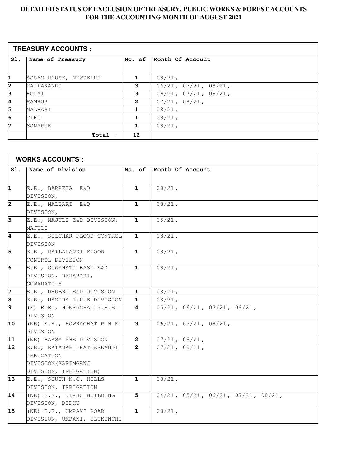#### **DETAILED STATUS OF EXCLUSION OF TREASURY, PUBLIC WORKS & FOREST ACCOUNTS FOR THE ACCOUNTING MONTH OF AUGUST 2021**

| <b>TREASURY ACCOUNTS :</b> |                       |                |                      |  |
|----------------------------|-----------------------|----------------|----------------------|--|
| SI.                        | Name of Treasury      | No. of         | Month Of Account     |  |
|                            |                       |                |                      |  |
| 1                          | ASSAM HOUSE, NEWDELHI |                | $08/21$ ,            |  |
| 2                          | HAILAKANDI            | 3              | 06/21, 07/21, 08/21, |  |
| 3                          | HOJAI                 | 3              | 06/21, 07/21, 08/21, |  |
| 4                          | <b>KAMRUP</b>         | $\overline{2}$ | 07/21, 08/21,        |  |
| 5                          | <b>NALBARI</b>        |                | $08/21$ ,            |  |
| 6                          | TIHU                  | 1              | $08/21$ ,            |  |
| 7                          | SONAPUR               | 1.             | $08/21$ ,            |  |
|                            | Total :               | 12             |                      |  |

| <b>WORKS ACCOUNTS:</b> |                                                                                          |                |                                                   |  |  |
|------------------------|------------------------------------------------------------------------------------------|----------------|---------------------------------------------------|--|--|
| S1.                    | Name of Division                                                                         | No. of         | Month Of Account                                  |  |  |
| 1                      | E.E., BARPETA E&D<br>DIVISION,                                                           | $\mathbf 1$    | $08/21$ ,                                         |  |  |
| 2                      | E.E., NALBARI E&D<br>DIVISION,                                                           | $\mathbf{1}$   | $08/21$ ,                                         |  |  |
| 3                      | E.E., MAJULI E&D DIVISION,<br>MAJULI                                                     | $\mathbf{1}$   | $08/21$ ,                                         |  |  |
| 4                      | E.E., SILCHAR FLOOD CONTROL<br>DIVISION                                                  | $\mathbf{1}$   | $08/21$ ,                                         |  |  |
| 5                      | E.E., HAILAKANDI FLOOD<br>CONTROL DIVISION                                               | 1              | $08/21$ ,                                         |  |  |
| $\overline{6}$         | E.E., GUWAHATI EAST E&D<br>DIVISION, REHABARI,<br>GUWAHATI-8                             | $\mathbf{1}$   | $08/21$ ,                                         |  |  |
| 7                      | E.E., DHUBRI E&D DIVISION                                                                | 1              | $08/21$ ,                                         |  |  |
| 8                      | E.E., NAZIRA P.H.E DIVISION                                                              | 1              | $08/21$ ,                                         |  |  |
| 9                      | (E) E.E., HOWRAGHAT P.H.E.<br>DIVISION                                                   | 4              | $05/21$ , $06/21$ , $07/21$ , $08/21$ ,           |  |  |
| 10                     | (NE) E.E., HOWRAGHAT P.H.E.<br>DIVISION                                                  | 3              | $06/21$ , $07/21$ , $08/21$ ,                     |  |  |
| $\overline{11}$        | (NE) BAKSA PHE DIVISION                                                                  | $\overline{2}$ | 07/21, 08/21,                                     |  |  |
| 12                     | E.E., RATABARI-PATHARKANDI<br>IRRIGATION<br>DIVISION (KARIMGANJ<br>DIVISION, IRRIGATION) | $\mathbf{2}$   | $07/21$ , $08/21$ ,                               |  |  |
| 13                     | E.E., SOUTH N.C. HILLS<br>DIVISION, IRRIGATION                                           | $\mathbf{1}$   | $08/21$ ,                                         |  |  |
| 14                     | (NE) E.E., DIPHU BUILDING<br>DIVISION, DIPHU                                             | 5              | $04/21$ , $05/21$ , $06/21$ , $07/21$ , $08/21$ , |  |  |
| 15                     | (NE) E.E., UMPANI ROAD<br>DIVISION, UMPANI, ULUKUNCHI                                    | 1              | $08/21$ ,                                         |  |  |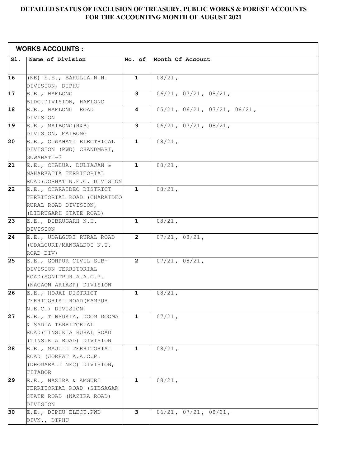#### **DETAILED STATUS OF EXCLUSION OF TREASURY, PUBLIC WORKS & FOREST ACCOUNTS FOR THE ACCOUNTING MONTH OF AUGUST 2021**

|     | <b>WORKS ACCOUNTS:</b>       |                |                               |
|-----|------------------------------|----------------|-------------------------------|
| SI. | Name of Division             | No. of         | Month Of Account              |
|     |                              |                |                               |
| 16  | (NE) E.E., BAKULIA N.H.      | $\mathbf{1}$   | $08/21$ ,                     |
|     | DIVISION, DIPHU              |                |                               |
| 17  | E.E., HAFLONG                | 3              | $06/21$ , $07/21$ , $08/21$ , |
|     | BLDG.DIVISION, HAFLONG       |                |                               |
| 18  | E.E., HAFLONG ROAD           | 4              | 05/21, 06/21, 07/21, 08/21,   |
|     | DIVISION                     |                |                               |
| 19  | E.E., MAIBONG(R&B)           | 3              | 06/21, 07/21, 08/21,          |
|     | DIVISION, MAIBONG            |                |                               |
| 20  | E.E., GUWAHATI ELECTRICAL    | $\mathbf{1}$   | $08/21$ ,                     |
|     | DIVISION (PWD) CHANDMARI,    |                |                               |
|     | GUWAHATI-3                   |                |                               |
| 21  | E.E., CHABUA, DULIAJAN &     | $\mathbf{1}$   | $08/21$ ,                     |
|     | NAHARKATIA TERRITORIAL       |                |                               |
|     | ROAD (JORHAT N.E.C. DIVISION |                |                               |
| 22  | E.E., CHARAIDEO DISTRICT     | $\mathbf{1}$   | $08/21$ ,                     |
|     | TERRITORIAL ROAD (CHARAIDEO  |                |                               |
|     | RURAL ROAD DIVISION,         |                |                               |
|     | (DIBRUGARH STATE ROAD)       |                |                               |
| 23  | E.E., DIBRUGARH N.H.         | $\mathbf{1}$   | $08/21$ ,                     |
|     | DIVISION                     |                |                               |
| 24  | E.E., UDALGURI RURAL ROAD    | $\overline{2}$ | 07/21, 08/21,                 |
|     | (UDALGURI/MANGALDOI N.T.     |                |                               |
|     | ROAD DIV)                    |                |                               |
| 25  | E.E., GOHPUR CIVIL SUB-      | $\mathbf{2}$   | 07/21, 08/21,                 |
|     | DIVISION TERRITORIAL         |                |                               |
|     | ROAD (SONITPUR A.A.C.P.      |                |                               |
|     | (NAGAON ARIASP) DIVISION     |                |                               |
| 26  | E.E., HOJAI DISTRICT         | $\mathbf{1}$   | $08/21$ ,                     |
|     | TERRITORIAL ROAD (KAMPUR     |                |                               |
|     | N.E.C.) DIVISION             |                |                               |
| 27  | E.E., TINSUKIA, DOOM DOOMA   | $\mathbf{1}$   | $07/21$ ,                     |
|     | & SADIA TERRITORIAL          |                |                               |
|     | ROAD (TINSUKIA RURAL ROAD    |                |                               |
|     | (TINSUKIA ROAD) DIVISION     |                |                               |
| 28  | E.E., MAJULI TERRITORIAL     | 1              | $08/21$ ,                     |
|     | ROAD (JORHAT A.A.C.P.        |                |                               |
|     | (DHODARALI NEC) DIVISION,    |                |                               |
|     | TITABOR                      |                |                               |
| 29  | E.E., NAZIRA & AMGURI        | $\mathbf{1}$   | $08/21$ ,                     |
|     | TERRITORIAL ROAD (SIBSAGAR   |                |                               |
|     | STATE ROAD (NAZIRA ROAD)     |                |                               |
|     | DIVISION                     |                |                               |
| 30  | E.E., DIPHU ELECT.PWD        | 3              | $06/21$ , $07/21$ , $08/21$ , |
|     | DIVN., DIPHU                 |                |                               |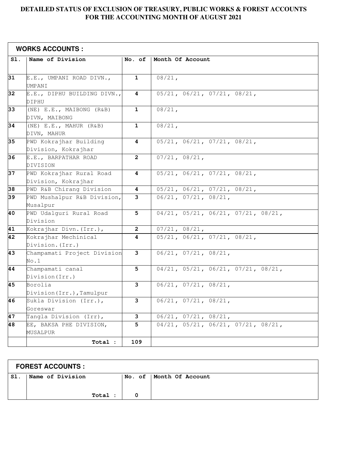#### **DETAILED STATUS OF EXCLUSION OF TREASURY, PUBLIC WORKS & FOREST ACCOUNTS FOR THE ACCOUNTING MONTH OF AUGUST 2021**

|                 | <b>WORKS ACCOUNTS:</b>                          |                         |                                                              |  |  |  |
|-----------------|-------------------------------------------------|-------------------------|--------------------------------------------------------------|--|--|--|
| S1.             | Name of Division                                | No. of                  | Month Of Account                                             |  |  |  |
| 31              | E.E., UMPANI ROAD DIVN.,<br>UMPANI              | $\mathbf{1}$            | $08/21$ ,                                                    |  |  |  |
| 32              | E.E., DIPHU BUILDING DIVN.,<br>DIPHU            | 4                       | 05/21, 06/21, 07/21, 08/21,                                  |  |  |  |
| 33              | (NE) E.E., MAIBONG (R&B)<br>DIVN, MAIBONG       | $\mathbf{1}$            | $08/21$ ,                                                    |  |  |  |
| 34              | (NE) E.E., MAHUR (R&B)<br>DIVN, MAHUR           | $\mathbf{1}$            | $08/21$ ,                                                    |  |  |  |
| 35              | PWD Kokrajhar Building<br>Division, Kokrajhar   | 4                       | 05/21, 06/21, 07/21, 08/21,                                  |  |  |  |
| 36              | E.E., BARPATHAR ROAD<br>DIVISION                | $\overline{\mathbf{2}}$ | 07/21, 08/21,                                                |  |  |  |
| 37              | PWD Kokrajhar Rural Road<br>Division, Kokrajhar | 4                       | 05/21, 06/21, 07/21, 08/21,                                  |  |  |  |
| 38              | PWD R&B Chirang Division                        | 4                       | $05/21$ , $06/21$ , $07/21$ , $08/21$ ,                      |  |  |  |
| 39              | PWD Mushalpur R&B Division,<br>Musalpur         | 3                       | 06/21, 07/21, 08/21,                                         |  |  |  |
| 40              | PWD Udalguri Rural Road<br>Division             | 5                       | $04/21$ , $05/21$ , $06/21$ , $07/21$ , $08/21$ ,            |  |  |  |
| 41              | Kokrajhar Divn. (Irr.),                         | $\mathbf{2}$            | 07/21, 08/21,                                                |  |  |  |
| $\overline{42}$ | Kokrajhar Mechinical<br>Division. (Irr.)        | 4                       | 05/21, 06/21, 07/21, 08/21,                                  |  |  |  |
| 43              | Champamati Project Division<br>No.1             | з                       | $06/21$ , $07/21$ , $08/21$ ,                                |  |  |  |
| 44              | Champamati canal<br>Division (Irr.)             | 5                       | 04/21, 05/21, 06/21, 07/21, 08/21,                           |  |  |  |
| 45              | Borolia<br>Division (Irr.), Tamulpur            | 3                       | $\overline{06/21, 07/21, 08/21},$                            |  |  |  |
| 46              | Sukla Division (Irr.),<br>Goreswar              | з                       | $06/21$ , $07/21$ , $08/21$ ,                                |  |  |  |
| 47              | Tangla Division (Irr),                          | 3                       | 06/21, 07/21, 08/21,                                         |  |  |  |
| 48              | EE, BAKSA PHE DIVISION,<br>MUSALPUR             | 5                       | $04/21$ , $05/21$ , $06/\overline{21}$ , $07/21$ , $08/21$ , |  |  |  |
|                 | Total :                                         | 109                     |                                                              |  |  |  |

| <b>FOREST ACCOUNTS :</b> |                  |         |  |                           |  |
|--------------------------|------------------|---------|--|---------------------------|--|
| Sl.                      | Name of Division |         |  | No. of   Month Of Account |  |
|                          |                  |         |  |                           |  |
|                          |                  | Total : |  |                           |  |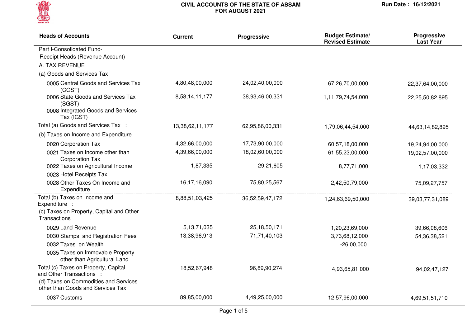

| <b>Heads of Accounts</b>                                                                        | <b>Current</b>  | Progressive     | <b>Budget Estimate/</b><br><b>Revised Estimate</b> | Progressive<br><b>Last Year</b> |
|-------------------------------------------------------------------------------------------------|-----------------|-----------------|----------------------------------------------------|---------------------------------|
| Part I-Consolidated Fund-                                                                       |                 |                 |                                                    |                                 |
| Receipt Heads (Revenue Account)                                                                 |                 |                 |                                                    |                                 |
| A. TAX REVENUE                                                                                  |                 |                 |                                                    |                                 |
| (a) Goods and Services Tax                                                                      |                 |                 |                                                    |                                 |
| 0005 Central Goods and Services Tax<br>(CGST)                                                   | 4,80,48,00,000  | 24,02,40,00,000 | 67,26,70,00,000                                    | 22,37,64,00,000                 |
| 0006 State Goods and Services Tax<br>(SGST)<br>0008 Integrated Goods and Services<br>Tax (IGST) | 8,58,14,11,177  | 38,93,46,00,331 | 1,11,79,74,54,000                                  | 22,25,50,82,895                 |
| Total (a) Goods and Services Tax :                                                              | 13,38,62,11,177 | 62,95,86,00,331 | 1,79,06,44,54,000                                  | 44,63,14,82,895                 |
| (b) Taxes on Income and Expenditure                                                             |                 |                 |                                                    |                                 |
| 0020 Corporation Tax                                                                            | 4,32,66,00,000  | 17,73,90,00,000 | 60,57,18,00,000                                    | 19,24,94,00,000                 |
| 0021 Taxes on Income other than<br><b>Corporation Tax</b>                                       | 4,39,66,00,000  | 18,02,60,00,000 | 61,55,23,00,000                                    | 19,02,57,00,000                 |
| 0022 Taxes on Agricultural Income<br>0023 Hotel Receipts Tax                                    | 1,87,335        | 29,21,605       | 8,77,71,000                                        | 1,17,03,332                     |
| 0028 Other Taxes On Income and<br>Expenditure                                                   | 16,17,16,090    | 75,80,25,567    | 2,42,50,79,000                                     | 75,09,27,757                    |
| Total (b) Taxes on Income and<br>Expenditure :                                                  | 8,88,51,03,425  | 36,52,59,47,172 | 1,24,63,69,50,000                                  | 39,03,77,31,089                 |
| (c) Taxes on Property, Capital and Other<br>Transactions                                        |                 |                 |                                                    |                                 |
| 0029 Land Revenue                                                                               | 5, 13, 71, 035  | 25, 18, 50, 171 | 1,20,23,69,000                                     | 39,66,08,606                    |
| 0030 Stamps and Registration Fees                                                               | 13,38,96,913    | 71,71,40,103    | 3,73,68,12,000                                     | 54, 36, 38, 521                 |
| 0032 Taxes on Wealth                                                                            |                 |                 | $-26,00,000$                                       |                                 |
| 0035 Taxes on Immovable Property<br>other than Agricultural Land                                |                 |                 |                                                    |                                 |
| Total (c) Taxes on Property, Capital<br>and Other Transactions :                                | 18,52,67,948    | 96,89,90,274    | 4,93,65,81,000                                     | 94,02,47,127                    |
| (d) Taxes on Commodities and Services<br>other than Goods and Services Tax                      |                 |                 |                                                    |                                 |
| 0037 Customs                                                                                    | 89,85,00,000    | 4,49,25,00,000  | 12,57,96,00,000                                    | 4,69,51,51,710                  |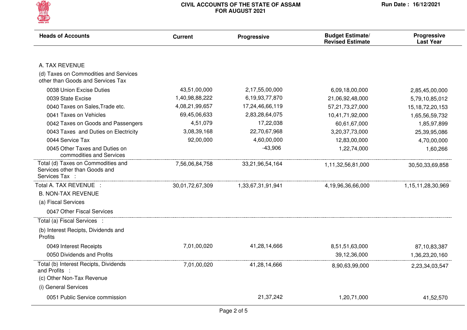

| <b>Heads of Accounts</b>                                                              | <b>Current</b>  | Progressive       | <b>Budget Estimate/</b><br><b>Revised Estimate</b> | Progressive<br><b>Last Year</b> |
|---------------------------------------------------------------------------------------|-----------------|-------------------|----------------------------------------------------|---------------------------------|
|                                                                                       |                 |                   |                                                    |                                 |
| A. TAX REVENUE                                                                        |                 |                   |                                                    |                                 |
| (d) Taxes on Commodities and Services<br>other than Goods and Services Tax            |                 |                   |                                                    |                                 |
| 0038 Union Excise Duties                                                              | 43,51,00,000    | 2,17,55,00,000    | 6,09,18,00,000                                     | 2,85,45,00,000                  |
| 0039 State Excise                                                                     | 1,40,98,88,222  | 6,19,93,77,870    | 21,06,92,48,000                                    | 5,79,10,85,012                  |
| 0040 Taxes on Sales, Trade etc.                                                       | 4,08,21,99,657  | 17,24,46,66,119   | 57,21,73,27,000                                    | 15, 18, 72, 20, 153             |
| 0041 Taxes on Vehicles                                                                | 69,45,06,633    | 2,83,28,64,075    | 10,41,71,92,000                                    | 1,65,56,59,732                  |
| 0042 Taxes on Goods and Passengers                                                    | 4,51,079        | 17,22,038         | 60,61,67,000                                       | 1,85,97,899                     |
| 0043 Taxes and Duties on Electricity                                                  | 3,08,39,168     | 22,70,67,968      | 3,20,37,73,000                                     | 25,39,95,086                    |
| 0044 Service Tax                                                                      | 92,00,000       | 4,60,00,000       | 12,83,00,000                                       | 4,70,00,000                     |
| 0045 Other Taxes and Duties on<br>commodities and Services                            |                 | $-43,906$         | 1,22,74,000                                        | 1,60,266                        |
| Total (d) Taxes on Commodities and<br>Services other than Goods and<br>Services Tax : | 7,56,06,84,758  | 33,21,96,54,164   | 1,11,32,56,81,000                                  | 30,50,33,69,858                 |
| Total A. TAX REVENUE :                                                                | 30,01,72,67,309 | 1,33,67,31,91,941 | 4,19,96,36,66,000                                  | 1,15,11,28,30,969               |
| <b>B. NON-TAX REVENUE</b>                                                             |                 |                   |                                                    |                                 |
| (a) Fiscal Services                                                                   |                 |                   |                                                    |                                 |
| 0047 Other Fiscal Services                                                            |                 |                   |                                                    |                                 |
| Total (a) Fiscal Services :                                                           |                 |                   |                                                    |                                 |
| (b) Interest Recipts, Dividends and<br>Profits                                        |                 |                   |                                                    |                                 |
| 0049 Interest Receipts                                                                | 7,01,00,020     | 41,28,14,666      | 8,51,51,63,000                                     | 87,10,83,387                    |
| 0050 Dividends and Profits                                                            |                 |                   | 39,12,36,000                                       | 1,36,23,20,160                  |
| Total (b) Interest Recipts, Dividends<br>and Profits :                                | 7,01,00,020     | 41,28,14,666      | 8,90,63,99,000                                     | 2,23,34,03,547                  |
| (c) Other Non-Tax Revenue                                                             |                 |                   |                                                    |                                 |
| (i) General Services                                                                  |                 |                   |                                                    |                                 |
| 0051 Public Service commission                                                        |                 | 21,37,242         | 1,20,71,000                                        | 41,52,570                       |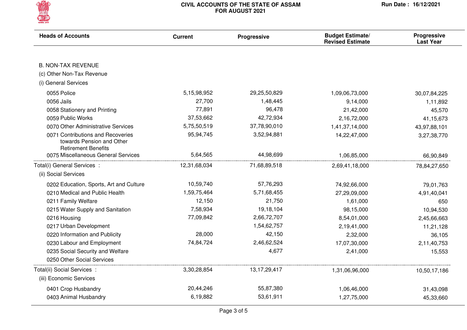

| <b>Heads of Accounts</b>                                                                     | <b>Current</b> | Progressive     | <b>Budget Estimate/</b><br><b>Revised Estimate</b> | Progressive<br><b>Last Year</b> |
|----------------------------------------------------------------------------------------------|----------------|-----------------|----------------------------------------------------|---------------------------------|
|                                                                                              |                |                 |                                                    |                                 |
| <b>B. NON-TAX REVENUE</b>                                                                    |                |                 |                                                    |                                 |
| (c) Other Non-Tax Revenue                                                                    |                |                 |                                                    |                                 |
| (i) General Services                                                                         |                |                 |                                                    |                                 |
| 0055 Police                                                                                  | 5,15,98,952    | 29,25,50,829    | 1,09,06,73,000                                     | 30,07,84,225                    |
| 0056 Jails                                                                                   | 27,700         | 1,48,445        | 9,14,000                                           | 1,11,892                        |
| 0058 Stationery and Printing                                                                 | 77,891         | 96,478          | 21,42,000                                          | 45,570                          |
| 0059 Public Works                                                                            | 37,53,662      | 42,72,934       | 2,16,72,000                                        | 41, 15, 673                     |
| 0070 Other Administrative Services                                                           | 5,75,50,519    | 37,78,90,010    | 1,41,37,14,000                                     | 43,97,88,101                    |
| 0071 Contributions and Recoveries<br>towards Pension and Other<br><b>Retirement Benefits</b> | 95,94,745      | 3,52,94,881     | 14,22,47,000                                       | 3,27,38,770                     |
| 0075 Miscellaneous General Services                                                          | 5,64,565       | 44,98,699       | 1,06,85,000                                        | 66,90,849                       |
| Total(i) General Services :                                                                  | 12,31,68,034   | 71,68,89,518    | 2,69,41,18,000                                     | 78,84,27,650                    |
| (ii) Social Services                                                                         |                |                 |                                                    |                                 |
| 0202 Education, Sports, Art and Culture                                                      | 10,59,740      | 57,76,293       | 74,92,66,000                                       | 79,01,763                       |
| 0210 Medical and Public Health                                                               | 1,59,75,464    | 5,71,68,455     | 27,29,09,000                                       | 4,91,40,041                     |
| 0211 Family Welfare                                                                          | 12,150         | 21,750          | 1,61,000                                           | 650                             |
| 0215 Water Supply and Sanitation                                                             | 7,58,934       | 19,18,104       | 98,15,000                                          | 10,94,530                       |
| 0216 Housing                                                                                 | 77,09,842      | 2,66,72,707     | 8,54,01,000                                        | 2,45,66,663                     |
| 0217 Urban Development                                                                       |                | 1,54,62,757     | 2,19,41,000                                        | 11,21,128                       |
| 0220 Information and Publicity                                                               | 28,000         | 42,150          | 2,32,000                                           | 36,105                          |
| 0230 Labour and Employment                                                                   | 74,84,724      | 2,46,62,524     | 17,07,30,000                                       | 2,11,40,753                     |
| 0235 Social Security and Welfare                                                             |                | 4,677           | 2,41,000                                           | 15,553                          |
| 0250 Other Social Services                                                                   |                |                 |                                                    |                                 |
| Total(ii) Social Services :                                                                  | 3,30,28,854    | 13, 17, 29, 417 | 1,31,06,96,000                                     | 10,50,17,186                    |
| (iii) Economic Services                                                                      |                |                 |                                                    |                                 |
| 0401 Crop Husbandry                                                                          | 20,44,246      | 55,87,380       | 1,06,46,000                                        | 31,43,098                       |
| 0403 Animal Husbandry                                                                        | 6,19,882       | 53,61,911       | 1,27,75,000                                        | 45,33,660                       |
|                                                                                              |                |                 |                                                    |                                 |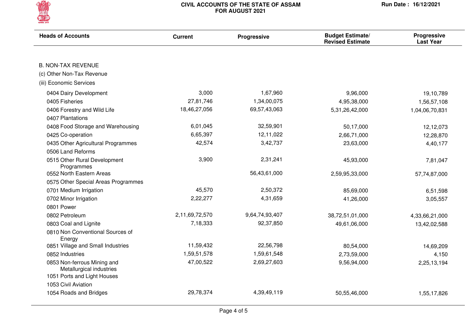

| <b>Heads of Accounts</b>                                | <b>Current</b> | <b>Progressive</b> | <b>Budget Estimate/</b><br><b>Revised Estimate</b> | <b>Progressive</b><br><b>Last Year</b> |
|---------------------------------------------------------|----------------|--------------------|----------------------------------------------------|----------------------------------------|
|                                                         |                |                    |                                                    |                                        |
| <b>B. NON-TAX REVENUE</b>                               |                |                    |                                                    |                                        |
| (c) Other Non-Tax Revenue                               |                |                    |                                                    |                                        |
| (iii) Economic Services                                 |                |                    |                                                    |                                        |
| 0404 Dairy Development                                  | 3,000          | 1,67,960           | 9,96,000                                           | 19,10,789                              |
| 0405 Fisheries                                          | 27,81,746      | 1,34,00,075        | 4,95,38,000                                        | 1,56,57,108                            |
| 0406 Forestry and Wild Life                             | 18,46,27,056   | 69,57,43,063       | 5,31,26,42,000                                     | 1,04,06,70,831                         |
| 0407 Plantations                                        |                |                    |                                                    |                                        |
| 0408 Food Storage and Warehousing                       | 6,01,045       | 32,59,901          | 50,17,000                                          | 12,12,073                              |
| 0425 Co-operation                                       | 6,65,397       | 12,11,022          | 2,66,71,000                                        | 12,28,870                              |
| 0435 Other Agricultural Programmes                      | 42,574         | 3,42,737           | 23,63,000                                          | 4,40,177                               |
| 0506 Land Reforms                                       |                |                    |                                                    |                                        |
| 0515 Other Rural Development<br>Programmes              | 3,900          | 2,31,241           | 45,93,000                                          | 7,81,047                               |
| 0552 North Eastern Areas                                |                | 56,43,61,000       | 2,59,95,33,000                                     | 57,74,87,000                           |
| 0575 Other Special Areas Programmes                     |                |                    |                                                    |                                        |
| 0701 Medium Irrigation                                  | 45,570         | 2,50,372           | 85,69,000                                          | 6,51,598                               |
| 0702 Minor Irrigation                                   | 2,22,277       | 4,31,659           | 41,26,000                                          | 3,05,557                               |
| 0801 Power                                              |                |                    |                                                    |                                        |
| 0802 Petroleum                                          | 2,11,69,72,570 | 9,64,74,93,407     | 38,72,51,01,000                                    | 4,33,66,21,000                         |
| 0803 Coal and Lignite                                   | 7,18,333       | 92,37,850          | 49,61,06,000                                       | 13,42,02,588                           |
| 0810 Non Conventional Sources of<br>Energy              |                |                    |                                                    |                                        |
| 0851 Village and Small Industries                       | 11,59,432      | 22,56,798          | 80,54,000                                          | 14,69,209                              |
| 0852 Industries                                         | 1,59,51,578    | 1,59,61,548        | 2,73,59,000                                        | 4,150                                  |
| 0853 Non-ferrous Mining and<br>Metallurgical industries | 47,00,522      | 2,69,27,603        | 9,56,94,000                                        | 2,25,13,194                            |
| 1051 Ports and Light Houses                             |                |                    |                                                    |                                        |
| 1053 Civil Aviation                                     |                |                    |                                                    |                                        |
| 1054 Roads and Bridges                                  | 29,78,374      | 4,39,49,119        | 50,55,46,000                                       | 1,55,17,826                            |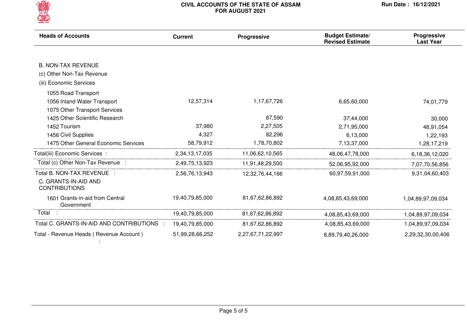

| <b>Heads of Accounts</b>                      | Progressive<br><b>Current</b> |                   | <b>Budget Estimate/</b><br><b>Revised Estimate</b> | <b>Progressive</b><br><b>Last Year</b> |
|-----------------------------------------------|-------------------------------|-------------------|----------------------------------------------------|----------------------------------------|
|                                               |                               |                   |                                                    |                                        |
| <b>B. NON-TAX REVENUE</b>                     |                               |                   |                                                    |                                        |
| (c) Other Non-Tax Revenue                     |                               |                   |                                                    |                                        |
| (iii) Economic Services                       |                               |                   |                                                    |                                        |
| 1055 Road Transport                           |                               |                   |                                                    |                                        |
| 1056 Inland Water Transport                   | 12,57,314                     | 1,17,67,726       | 6,65,60,000                                        | 74,01,779                              |
| 1075 Other Transport Services                 |                               |                   |                                                    |                                        |
| 1425 Other Scientific Research                |                               | 87,590            | 37,44,000                                          | 30,000                                 |
| 1452 Tourism                                  | 37,980                        | 2,27,505          | 2,71,95,000                                        | 48,91,054                              |
| 1456 Civil Supplies                           | 4,327                         | 82,296            | 6,13,000                                           | 1,22,193                               |
| 1475 Other General Economic Services          | 58,79,912                     | 1,78,70,802       | 7,13,37,000                                        | 1,28,17,219                            |
| Total(iii) Economic Services :                | 2,34,13,17,035                | 11,06,62,10,565   | 48,06,47,78,000                                    | 6,18,36,12,020                         |
| Total (c) Other Non-Tax Revenue :             | 2,49,75,13,923                | 11,91,48,29,500   | 52,06,95,92,000                                    | 7,07,70,56,856                         |
| Total B. NON-TAX REVENUE :                    | 2,56,76,13,943                | 12,32,76,44,166   | 60,97,59,91,000                                    | 9,31,04,60,403                         |
| C. GRANTS-IN-AID AND<br><b>CONTRIBUTIONS</b>  |                               |                   |                                                    |                                        |
| 1601 Grants-in-aid from Central<br>Government | 19,40,79,85,000               | 81,67,62,86,892   | 4,08,85,43,69,000                                  | 1,04,89,97,09,034                      |
| Total :                                       | 19,40,79,85,000               | 81,67,62,86,892   | 4,08,85,43,69,000                                  | 1,04,89,97,09,034                      |
| Total C. GRANTS-IN-AID AND CONTRIBUTIONS :    | 19,40,79,85,000               | 81,67,62,86,892   | 4,08,85,43,69,000                                  | 1,04,89,97,09,034                      |
| Total - Revenue Heads (Revenue Account)       | 51,99,28,66,252               | 2,27,67,71,22,997 | 8,89,79,40,26,000                                  | 2,29,32,30,00,406                      |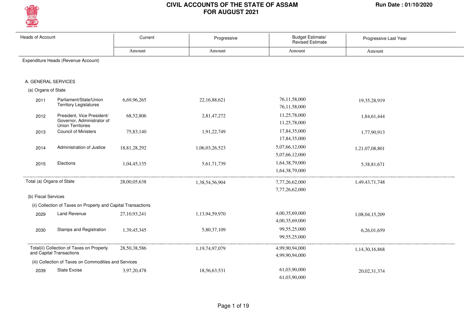

| <b>Heads of Account</b>   |                                                                                      | Current         | Progressive    | Budget Estimate/<br><b>Revised Estimate</b> | Progressive Last Year |
|---------------------------|--------------------------------------------------------------------------------------|-----------------|----------------|---------------------------------------------|-----------------------|
|                           |                                                                                      | Amount          | Amount         | Amount                                      | Amount                |
|                           | Expenditure Heads (Revenue Account)                                                  |                 |                |                                             |                       |
| A. GENERAL SERVICES       |                                                                                      |                 |                |                                             |                       |
| (a) Organs of State       |                                                                                      |                 |                |                                             |                       |
| 2011                      | Parliament/State/Union<br><b>Territory Legislatures</b>                              | 6,69,96,265     | 22,16,88,621   | 76,11,58,000<br>76,11,58,000                | 19,35,28,919          |
| 2012                      | President, Vice President/<br>Governor, Administrator of<br><b>Union Territories</b> | 68,52,806       | 2,81,47,272    | 11,25,78,000<br>11,25,78,000                | 1,84,61,444           |
| 2013                      | <b>Council of Ministers</b>                                                          | 75,83,140       | 1,91,22,749    | 17,84,35,000<br>17,84,35,000                | 1,77,90,913           |
| 2014                      | Administration of Justice                                                            | 18,81,28,292    | 1,06,03,26,523 | 5,07,66,12,000<br>5,07,66,12,000            | 1,21,07,08,801        |
| 2015                      | Elections                                                                            | 1,04,45,135     | 5,61,71,739    | 1,64,38,79,000<br>1,64,38,79,000            | 5,38,81,671           |
| Total (a) Organs of State |                                                                                      | 28,00,05,638    | 1,38,54,56,904 | 7,77,26,62,000<br>7,77,26,62,000            | 1,49,43,71,748        |
| (b) Fiscal Services       |                                                                                      |                 |                |                                             |                       |
|                           | (ii) Collection of Taxes on Property and Capital Transactions                        |                 |                |                                             |                       |
| 2029                      | Land Revenue                                                                         | 27, 10, 93, 241 | 1,13,94,59,970 | 4,00,35,69,000<br>4,00,35,69,000            | 1,08,04,15,209        |
| 2030                      | Stamps and Registration                                                              | 1,39,45,345     | 5,80,37,109    | 99,55,25,000<br>99,55,25,000                | 6,26,01,659           |
|                           | Total(ii) Collection of Taxes on Property<br>and Capital Transactions                | 28,50,38,586    | 1,19,74,97,079 | 4,99,90,94,000<br>4,99,90,94,000            | 1,14,30,16,868        |
|                           | (iii) Collection of Taxes on Commodities and Services                                |                 |                |                                             |                       |
| 2039                      | <b>State Excise</b>                                                                  | 3,97,20,478     | 18,56,63,531   | 61,03,90,000<br>61.03.90.000                | 20,02,31,374          |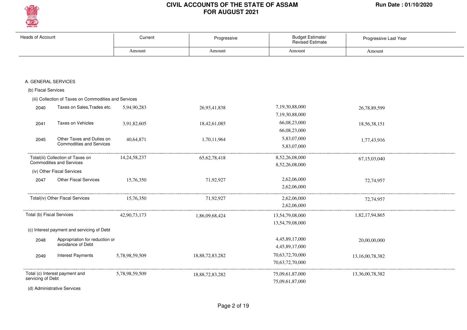

| Heads of Account          |                                                                      | Current         | Progressive     | Budget Estimate/<br><b>Revised Estimate</b> | Progressive Last Year |
|---------------------------|----------------------------------------------------------------------|-----------------|-----------------|---------------------------------------------|-----------------------|
|                           |                                                                      | Amount          | Amount          | Amount                                      | Amount                |
|                           |                                                                      |                 |                 |                                             |                       |
|                           | A. GENERAL SERVICES                                                  |                 |                 |                                             |                       |
| (b) Fiscal Services       |                                                                      |                 |                 |                                             |                       |
|                           | (iii) Collection of Taxes on Commodities and Services                |                 |                 |                                             |                       |
| 2040                      | Taxes on Sales, Trades etc.                                          | 5,94,90,283     | 26,93,41,838    | 7,19,30,88,000<br>7,19,30,88,000            | 26,78,89,599          |
| 2041                      | Taxes on Vehicles                                                    | 3,91,82,605     | 18,42,61,085    | 66,08,23,000<br>66,08,23,000                | 18,56,38,151          |
| 2045                      | Other Taxes and Duties on<br><b>Commodities and Services</b>         | 40,64,871       | 1,70,11,964     | 5,83,07,000<br>5,83,07,000                  | 1,77,43,916           |
|                           | Total(iii) Collection of Taxes on<br><b>Commodities and Services</b> | 14, 24, 58, 237 | 65, 62, 78, 418 | 8,52,26,08,000<br>8,52,26,08,000            | 67, 15, 03, 040       |
|                           | (iv) Other Fiscal Services                                           |                 |                 |                                             |                       |
| 2047                      | <b>Other Fiscal Services</b>                                         | 15,76,350       | 71,92,927       | 2,62,06,000<br>2,62,06,000                  | 72,74,957             |
|                           | Total(iv) Other Fiscal Services                                      | 15,76,350       | 71,92,927       | 2,62,06,000<br>2,62,06,000                  | 72,74,957             |
| Total (b) Fiscal Services |                                                                      | 42,90,73,173    | 1,86,09,68,424  | 13,54,79,08,000<br>13,54,79,08,000          | 1,82,17,94,865        |
|                           | (c) Interest payment and servicing of Debt                           |                 |                 |                                             |                       |
| 2048                      | Appropriation for reduction or<br>avoidance of Debt                  |                 |                 | 4,45,89,17,000<br>4,45,89,17,000            | 20,00,00,000          |
| 2049                      | <b>Interest Payments</b>                                             | 5,78,98,59,509  | 18,88,72,83,282 | 70,63,72,70,000<br>70,63,72,70,000          | 13,16,00,78,382       |
| servicing of Debt         | Total (c) Interest payment and                                       | 5,78,98,59,509  | 18,88,72,83,282 | 75,09,61,87,000<br>75,09,61,87,000          | 13,36,00,78,382       |
|                           | (d) Administrative Services                                          |                 |                 |                                             |                       |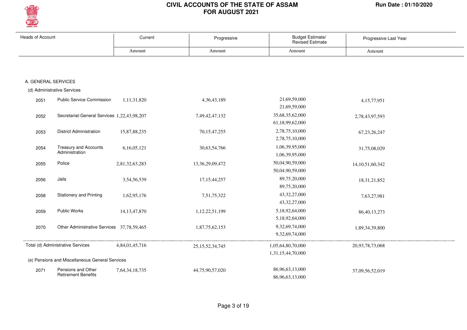

| <b>Heads of Account</b> |                                                 | Current         | Progressive         | <b>Budget Estimate/</b><br><b>Revised Estimate</b> | Progressive Last Year |  |
|-------------------------|-------------------------------------------------|-----------------|---------------------|----------------------------------------------------|-----------------------|--|
|                         |                                                 | Amount          | Amount              | Amount                                             | Amount                |  |
|                         |                                                 |                 |                     |                                                    |                       |  |
| A. GENERAL SERVICES     |                                                 |                 |                     |                                                    |                       |  |
|                         | (d) Administrative Services                     |                 |                     |                                                    |                       |  |
|                         |                                                 |                 |                     |                                                    |                       |  |
| 2051                    | <b>Public Service Commission</b>                | 1,11,31,820     | 4, 36, 43, 189      | 21,69,59,000                                       | 4,15,77,951           |  |
|                         |                                                 |                 |                     | 21,69,59,000                                       |                       |  |
| 2052                    | Secretariat-General Services 1,22,43,98,207     |                 | 7,49,42,47,132      | 35,68,35,62,000                                    | 2,78,43,97,593        |  |
|                         |                                                 |                 |                     | 61,18,99,62,000                                    |                       |  |
| 2053                    | <b>District Administration</b>                  | 15,87,88,235    | 70, 15, 47, 255     | 2,78,75,10,000                                     | 67, 23, 26, 247       |  |
|                         |                                                 |                 |                     | 2,78,75,10,000                                     |                       |  |
| 2054                    | Treasury and Accounts<br>Administration         | 6,16,05,121     | 30,63,54,766        | 1,06,39,95,000                                     | 31,75,08,029          |  |
|                         |                                                 |                 |                     | 1,06,39,95,000                                     |                       |  |
| 2055                    | Police                                          | 2,81,32,63,283  | 13, 36, 29, 09, 472 | 50,04,90,59,000                                    | 14, 10, 51, 60, 342   |  |
|                         |                                                 |                 |                     | 50,04,90,59,000                                    |                       |  |
| 2056                    | Jails                                           | 3,54,56,539     | 17, 15, 44, 257     | 89,75,20,000                                       | 18, 31, 21, 852       |  |
|                         |                                                 |                 |                     | 89,75,20,000                                       |                       |  |
| 2058                    | <b>Stationery and Printing</b>                  | 1,62,95,176     | 7,51,75,322         | 43, 32, 27, 000                                    | 7,63,27,981           |  |
|                         |                                                 |                 |                     | 43, 32, 27, 000                                    |                       |  |
| 2059                    | Public Works                                    | 14, 13, 47, 870 | 1,12,22,51,199      | 5,18,92,64,000                                     | 86,40,13,273          |  |
|                         |                                                 |                 |                     | 5,18,92,64,000                                     |                       |  |
| 2070                    | Other Administrative Services 37,78,59,465      |                 | 1,87,75,62,153      | 9,32,69,74,000                                     | 1,89,34,39,800        |  |
|                         |                                                 |                 |                     | 9,32,69,74,000                                     |                       |  |
|                         | Total (d) Administrative Services               | 4,84,01,45,716  | 25, 15, 52, 34, 745 | 1,05,64,80,70,000                                  | 20,93,78,73,068       |  |
|                         |                                                 |                 |                     | 1,31,15,44,70,000                                  |                       |  |
|                         | (e) Pensions and Miscellaneous General Services |                 |                     |                                                    |                       |  |
| 2071                    | Pensions and Other                              | 7,64,34,18,735  | 44,75,90,57,020     | 86,96,63,13,000                                    | 37,09,56,52,019       |  |
|                         | <b>Retirement Benefits</b>                      |                 |                     | 86,96,63,13,000                                    |                       |  |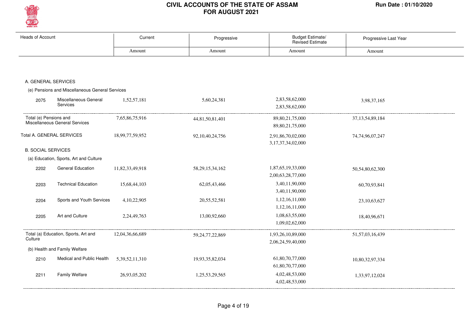

| Heads of Account          |                                                 | Current            | Progressive         | Budget Estimate/<br><b>Revised Estimate</b> | Progressive Last Year |
|---------------------------|-------------------------------------------------|--------------------|---------------------|---------------------------------------------|-----------------------|
|                           |                                                 | Amount             | Amount              | Amount                                      | Amount                |
|                           |                                                 |                    |                     |                                             |                       |
|                           |                                                 |                    |                     |                                             |                       |
| A. GENERAL SERVICES       |                                                 |                    |                     |                                             |                       |
|                           | (e) Pensions and Miscellaneous General Services |                    |                     |                                             |                       |
| 2075                      | Miscellaneous General<br>Services               | 1,52,57,181        | 5,60,24,381         | 2,83,58,62,000<br>2,83,58,62,000            | 3,98,37,165           |
| Total (e) Pensions and    | Miscellaneous General Services                  | 7,65,86,75,916     | 44,81,50,81,401     | 89, 80, 21, 75, 000<br>89, 80, 21, 75, 000  | 37, 13, 54, 89, 184   |
| Total A. GENERAL SERVICES |                                                 | 18,99,77,59,952    | 92, 10, 40, 24, 756 | 2,91,86,70,02,000<br>3, 17, 37, 34, 02, 000 | 74, 74, 96, 07, 247   |
| <b>B. SOCIAL SERVICES</b> |                                                 |                    |                     |                                             |                       |
|                           | (a) Education, Sports, Art and Culture          |                    |                     |                                             |                       |
| 2202                      | <b>General Education</b>                        | 11,82,33,49,918    | 58, 29, 15, 34, 162 | 1,87,65,19,33,000<br>2,00,63,28,77,000      | 50,54,80,62,300       |
| 2203                      | <b>Technical Education</b>                      | 15,68,44,103       | 62,05,43,466        | 3,40,11,90,000<br>3,40,11,90,000            | 60,70,93,841          |
| 2204                      | Sports and Youth Services                       | 4, 10, 22, 905     | 20,55,52,581        | 1,12,16,11,000<br>1,12,16,11,000            | 23,10,63,627          |
| 2205                      | Art and Culture                                 | 2,24,49,763        | 13,00,92,660        | 1,08,63,55,000<br>1,09,02,62,000            | 18,40,96,671          |
| Culture                   | Total (a) Education, Sports, Art and            | 12,04,36,66,689    | 59, 24, 77, 22, 869 | 1,93,26,10,89,000<br>2,06,24,59,40,000      | 51,57,03,16,439       |
|                           | (b) Health and Family Welfare                   |                    |                     |                                             |                       |
| 2210                      | Medical and Public Health                       | 5, 39, 52, 11, 310 | 19,93,35,82,034     | 61,80,70,77,000<br>61,80,70,77,000          | 10,80,32,97,334       |
| 2211                      | <b>Family Welfare</b>                           | 26,93,05,202       | 1,25,53,29,565      | 4,02,48,53,000<br>4,02,48,53,000            | 1,33,97,12,024        |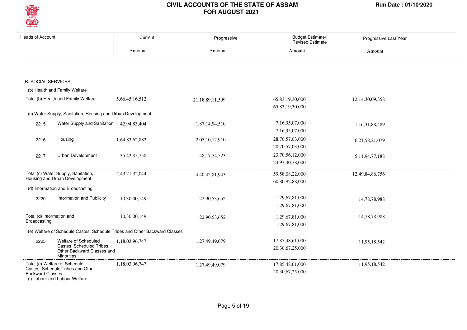

| <b>Heads of Account</b>                   |                                                                                                      | Current                                                                    | Progressive     | <b>Budget Estimate/</b><br><b>Revised Estimate</b> | Progressive Last Year |
|-------------------------------------------|------------------------------------------------------------------------------------------------------|----------------------------------------------------------------------------|-----------------|----------------------------------------------------|-----------------------|
|                                           |                                                                                                      | Amount                                                                     | Amount          | Amount                                             | Amount                |
|                                           |                                                                                                      |                                                                            |                 |                                                    |                       |
| <b>B. SOCIAL SERVICES</b>                 |                                                                                                      |                                                                            |                 |                                                    |                       |
|                                           | (b) Health and Family Welfare                                                                        |                                                                            |                 |                                                    |                       |
|                                           | Total (b) Health and Family Welfare                                                                  | 5,66,45,16,512                                                             | 21,18,89,11,599 | 65,83,19,30,000<br>65,83,19,30,000                 | 12,14,30,09,358       |
|                                           | (c) Water Supply, Sanitation, Housing and Urban Development                                          |                                                                            |                 |                                                    |                       |
| 2215                                      | Water Supply and Sanitation 42,94,83,404                                                             |                                                                            | 1,87,14,94,510  | 7,16,95,07,000<br>7,16,95,07,000                   | 1,16,31,88,489        |
| 2216                                      | Housing                                                                                              | 1,64,83,62,882                                                             | 2,05,10,12,910  | 28,70,57,03,000<br>28,70,57,03,000                 | 6,21,58,21,079        |
| 2217                                      | Urban Development                                                                                    | 35, 42, 85, 758                                                            | 48, 17, 74, 523 | 23,70,56,12,000<br>24,93,40,78,000                 | 5, 11, 94, 77, 188    |
|                                           | Total (c) Water Supply, Sanitation,<br>Housing and Urban Development                                 | 2,43,21,32,044                                                             | 4,40,42,81,943  | 59, 58, 08, 22, 000<br>60,80,92,88,000             | 12,49,84,86,756       |
|                                           | (d) Information and Broadcasting                                                                     |                                                                            |                 |                                                    |                       |
| 2220                                      | Information and Publicity                                                                            | 10,30,00,149                                                               | 22,90,53,652    | 1,29,67,81,000<br>1,29,67,81,000                   | 14,78,78,988          |
| Total (d) Information and<br>Broadcasting |                                                                                                      | 10,30,00,149                                                               | 22,90,53,652    | 1,29,67,81,000<br>1,29,67,81,000                   | 14,78,78,988          |
|                                           |                                                                                                      | (e) Welfare of Schedule Castes, Schedule Tribes and Other Backward Classes |                 |                                                    |                       |
| 2225                                      | Welfare of Scheduled<br>Castes, Scheduled Tribes,<br>Other Backward Classes and<br><b>Minorities</b> | 1,18,03,96,747                                                             | 1,27,49,49,079  | 17,85,48,61,000<br>20,30,67,25,000                 | 11,95,18,542          |
| <b>Backward Classes</b>                   | Total (e) Welfare of Schedule<br>Castes, Schedule Tribes and Other<br>(f) Labour and Labour Welfare  | 1,18,03,96,747                                                             | 1,27,49,49,079  | 17,85,48,61,000<br>20, 30, 67, 25, 000             | 11,95,18,542          |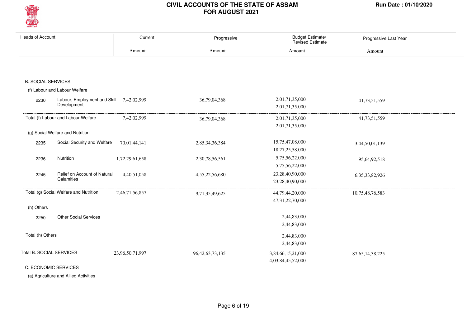

| <b>Heads of Account</b>   |                                                         | Current         | Progressive         | Budget Estimate/<br>Revised Estimate | Progressive Last Year |
|---------------------------|---------------------------------------------------------|-----------------|---------------------|--------------------------------------|-----------------------|
|                           |                                                         | Amount          | Amount              | Amount                               | Amount                |
|                           |                                                         |                 |                     |                                      |                       |
|                           |                                                         |                 |                     |                                      |                       |
| <b>B. SOCIAL SERVICES</b> |                                                         |                 |                     |                                      |                       |
|                           | (f) Labour and Labour Welfare                           |                 |                     |                                      |                       |
| 2230                      | Labour, Employment and Skill 7,42,02,999<br>Development |                 | 36,79,04,368        | 2,01,71,35,000                       | 41,73,51,559          |
|                           |                                                         |                 |                     | 2,01,71,35,000                       |                       |
|                           | Total (f) Labour and Labour Welfare                     | 7,42,02,999     | 36,79,04,368        | 2,01,71,35,000                       | 41,73,51,559          |
|                           |                                                         |                 |                     | 2,01,71,35,000                       |                       |
|                           | (g) Social Welfare and Nutrition                        |                 |                     |                                      |                       |
| 2235                      | Social Security and Welfare                             | 70,01,44,141    | 2,85,34,36,384      | 15,75,47,08,000                      | 3,44,50,01,139        |
|                           |                                                         |                 |                     | 18,27,25,58,000                      |                       |
| 2236                      | Nutrition                                               | 1,72,29,61,658  | 2,30,78,56,561      | 5,75,56,22,000                       | 95,64,92,518          |
|                           |                                                         |                 |                     | 5,75,56,22,000                       |                       |
| 2245                      | Relief on Account of Natural                            | 4,40,51,058     | 4,55,22,56,680      | 23,28,40,90,000                      | 6, 35, 33, 82, 926    |
|                           | Calamities                                              |                 |                     | 23,28,40,90,000                      |                       |
|                           | Total (g) Social Welfare and Nutrition                  | 2,46,71,56,857  | 9,71,35,49,625      | 44,79,44,20,000                      | 10,75,48,76,583       |
|                           |                                                         |                 |                     | 47,31,22,70,000                      |                       |
| (h) Others                |                                                         |                 |                     |                                      |                       |
| 2250                      | <b>Other Social Services</b>                            |                 |                     | 2,44,83,000                          |                       |
|                           |                                                         |                 |                     | 2,44,83,000                          |                       |
| Total (h) Others          |                                                         |                 |                     | 2,44,83,000                          |                       |
|                           |                                                         |                 |                     | 2,44,83,000                          |                       |
| Total B. SOCIAL SERVICES  |                                                         | 23,96,50,71,997 | 96, 42, 63, 73, 135 | 3,84,66,15,21,000                    | 87, 65, 14, 38, 225   |
|                           |                                                         |                 |                     | 4,03,84,45,52,000                    |                       |
|                           | C. ECONOMIC SERVICES                                    |                 |                     |                                      |                       |

(a) Agriculture and Allied Activities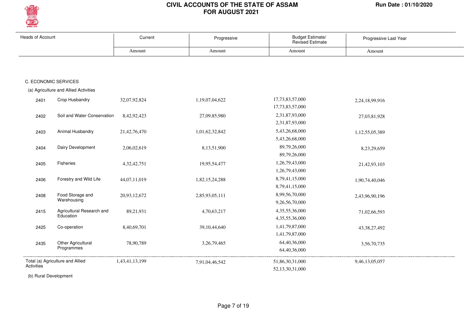

| <b>Heads of Account</b> |                                       | Current        | Progressive     | Budget Estimate/<br><b>Revised Estimate</b> | Progressive Last Year |
|-------------------------|---------------------------------------|----------------|-----------------|---------------------------------------------|-----------------------|
|                         |                                       | Amount         | Amount          | Amount                                      | Amount                |
|                         |                                       |                |                 |                                             |                       |
|                         |                                       |                |                 |                                             |                       |
|                         | C. ECONOMIC SERVICES                  |                |                 |                                             |                       |
|                         | (a) Agriculture and Allied Activities |                |                 |                                             |                       |
| 2401                    | Crop Husbandry                        | 32,07,92,824   | 1,19,07,04,622  | 17,73,83,57,000                             | 2,24,18,99,916        |
|                         |                                       |                |                 | 17,73,83,57,000                             |                       |
| 2402                    | Soil and Water Conservation           | 8,42,92,423    | 27,09,85,980    | 2,31,87,93,000                              | 27,03,81,928          |
|                         |                                       |                |                 | 2,31,87,93,000                              |                       |
| 2403                    | Animal Husbandry                      | 21,42,76,470   | 1,01,62,32,842  | 5,43,26,68,000                              | 1,12,55,05,389        |
|                         |                                       |                |                 | 5,43,26,68,000                              |                       |
| 2404                    | Dairy Development                     | 2,06,02,619    | 8,13,51,900     | 89,79,26,000                                | 8,23,29,659           |
|                         |                                       |                |                 | 89,79,26,000                                |                       |
| 2405                    | Fisheries                             | 4,32,42,751    | 19,95,54,477    | 1,26,79,43,000                              | 21,42,93,103          |
|                         |                                       |                |                 | 1,26,79,43,000                              |                       |
| 2406                    | Forestry and Wild Life                | 44,07,11,019   | 1,82,15,24,288  | 8,79,41,15,000                              | 1,90,74,40,046        |
|                         |                                       |                |                 | 8,79,41,15,000                              |                       |
| 2408                    | Food Storage and                      | 20,93,12,672   | 2,85,93,05,111  | 8,99,56,70,000                              | 2,43,96,90,196        |
|                         | Warehousing                           |                |                 | 9,26,56,70,000                              |                       |
| 2415                    | Agricultural Research and             | 89,21,931      | 4,70,63,217     | 4, 35, 55, 36, 000                          | 71,02,66,593          |
|                         | Education                             |                |                 | 4,35,55,36,000                              |                       |
| 2425                    | Co-operation                          | 8,40,69,701    | 39, 10, 44, 640 | 1,41,79,87,000                              | 43, 38, 27, 492       |
|                         |                                       |                |                 | 1,41,79,87,000                              |                       |
| 2435                    | Other Agricultural                    | 78,90,789      | 3, 26, 79, 465  | 64,40,36,000                                | 3,56,70,735           |
|                         | Programmes                            |                |                 | 64,40,36,000                                |                       |
| Activities              | Total (a) Agriculture and Allied      | 1,43,41,13,199 | 7,91,04,46,542  | 51,86,30,31,000                             | 9,46,13,05,057        |
|                         |                                       |                |                 | 52,13,30,31,000                             |                       |

(b) Rural Development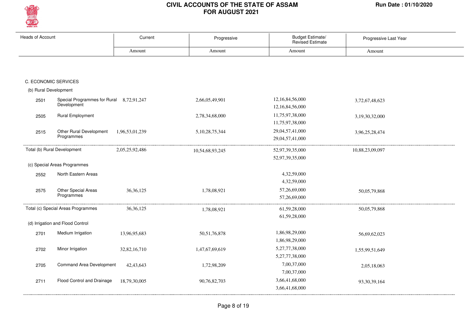

| <b>Heads of Account</b> |                                                         | Current         | Progressive        | Budget Estimate/<br>Revised Estimate | Progressive Last Year |  |
|-------------------------|---------------------------------------------------------|-----------------|--------------------|--------------------------------------|-----------------------|--|
|                         |                                                         | Amount          | Amount             | Amount                               | Amount                |  |
|                         |                                                         |                 |                    |                                      |                       |  |
|                         | C. ECONOMIC SERVICES                                    |                 |                    |                                      |                       |  |
| (b) Rural Development   |                                                         |                 |                    |                                      |                       |  |
| 2501                    | Special Programmes for Rural 8,72,91,247<br>Development |                 | 2,66,05,49,901     | 12,16,84,56,000<br>12,16,84,56,000   | 3,72,67,48,623        |  |
| 2505                    | <b>Rural Employment</b>                                 |                 | 2,78,34,68,000     | 11,75,97,38,000<br>11,75,97,38,000   | 3,19,30,32,000        |  |
| 2515                    | Other Rural Development<br>Programmes                   | 1,96,53,01,239  | 5, 10, 28, 75, 344 | 29,04,57,41,000<br>29,04,57,41,000   | 3,96,25,28,474        |  |
|                         | Total (b) Rural Development                             | 2,05,25,92,486  | 10,54,68,93,245    | 52,97,39,35,000                      | 10,88,23,09,097       |  |
|                         | (c) Special Areas Programmes                            |                 |                    | 52,97,39,35,000                      |                       |  |
| 2552                    | North Eastern Areas                                     |                 |                    | 4,32,59,000                          |                       |  |
|                         |                                                         |                 |                    | 4,32,59,000                          |                       |  |
| 2575                    | Other Special Areas<br>Programmes                       | 36, 36, 125     | 1,78,08,921        | 57,26,69,000<br>57,26,69,000         | 50,05,79,868          |  |
|                         | Total (c) Special Areas Programmes                      | 36, 36, 125     | 1,78,08,921        | 61,59,28,000<br>61,59,28,000         | 50,05,79,868          |  |
|                         | (d) Irrigation and Flood Control                        |                 |                    |                                      |                       |  |
| 2701                    | Medium Irrigation                                       | 13,96,95,683    | 50, 51, 76, 878    | 1,86,98,29,000<br>1,86,98,29,000     | 56,69,62,023          |  |
| 2702                    | Minor Irrigation                                        | 32, 82, 16, 710 | 1,47,67,69,619     | 5,27,77,38,000<br>5,27,77,38,000     | 1,55,99,51,649        |  |
| 2705                    | Command Area Development                                | 42, 43, 643     | 1,72,98,209        | 7,00,37,000<br>7,00,37,000           | 2,05,18,063           |  |
| 2711                    | Flood Control and Drainage                              | 18,79,30,005    | 90,76,82,703       | 3,66,41,68,000<br>3,66,41,68,000     | 93, 30, 39, 164       |  |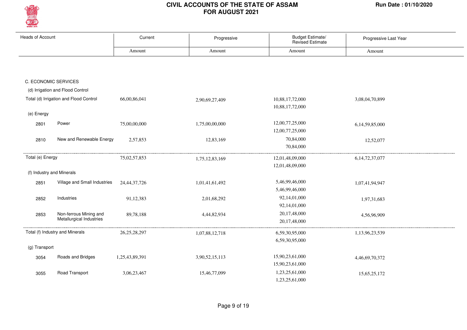

| <b>Heads of Account</b> |                                                    | Current         | Progressive    | Budget Estimate/<br><b>Revised Estimate</b> | Progressive Last Year |
|-------------------------|----------------------------------------------------|-----------------|----------------|---------------------------------------------|-----------------------|
|                         |                                                    | Amount          | Amount         | Amount                                      | Amount                |
|                         |                                                    |                 |                |                                             |                       |
|                         | C. ECONOMIC SERVICES                               |                 |                |                                             |                       |
|                         | (d) Irrigation and Flood Control                   |                 |                |                                             |                       |
|                         | Total (d) Irrigation and Flood Control             | 66,00,86,041    | 2,90,69,27,409 | 10,88,17,72,000<br>10,88,17,72,000          | 3,08,04,70,899        |
| (e) Energy              |                                                    |                 |                |                                             |                       |
| 2801                    | Power                                              | 75,00,00,000    | 1,75,00,00,000 | 12,00,77,25,000<br>12,00,77,25,000          | 6,14,59,85,000        |
| 2810                    | New and Renewable Energy                           | 2,57,853        | 12,83,169      | 70,84,000<br>70,84,000                      | 12,52,077             |
| Total (e) Energy        |                                                    | 75,02,57,853    | 1,75,12,83,169 | 12,01,48,09,000<br>12,01,48,09,000          | 6, 14, 72, 37, 077    |
|                         | (f) Industry and Minerals                          |                 |                |                                             |                       |
| 2851                    | Village and Small Industries                       | 24, 44, 37, 726 | 1,01,41,61,492 | 5,46,99,46,000<br>5,46,99,46,000            | 1,07,41,94,947        |
| 2852                    | Industries                                         | 91,12,383       | 2,01,68,292    | 92,14,01,000<br>92,14,01,000                | 1,97,31,683           |
| 2853                    | Non-ferrous Mining and<br>Metallurgical Industries | 89,78,188       | 4,44,82,934    | 20,17,48,000<br>20,17,48,000                | 4,56,96,909           |
|                         | Total (f) Industry and Minerals                    | 26, 25, 28, 297 | 1,07,88,12,718 | 6,59,30,95,000<br>6,59,30,95,000            | 1,13,96,23,539        |
| (g) Transport           |                                                    |                 |                |                                             |                       |
| 3054                    | Roads and Bridges                                  | 1,25,43,89,391  | 3,90,52,15,113 | 15,90,23,61,000<br>15,90,23,61,000          | 4,46,69,70,372        |
| 3055                    | Road Transport                                     | 3,06,23,467     | 15,46,77,099   | 1,23,25,61,000<br>1,23,25,61,000            | 15,65,25,172          |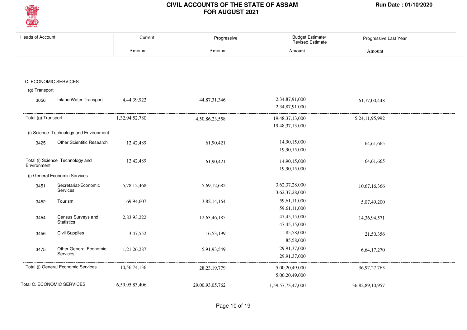

| <b>Heads of Account</b> |                                        | Current        | Progressive     | Budget Estimate/<br><b>Revised Estimate</b> | Progressive Last Year |
|-------------------------|----------------------------------------|----------------|-----------------|---------------------------------------------|-----------------------|
|                         |                                        | Amount         | Amount          | Amount                                      | Amount                |
|                         |                                        |                |                 |                                             |                       |
|                         | C. ECONOMIC SERVICES                   |                |                 |                                             |                       |
| (g) Transport           |                                        |                |                 |                                             |                       |
|                         |                                        |                |                 |                                             |                       |
| 3056                    | <b>Inland Water Transport</b>          | 4,44,39,922    | 44,87,31,346    | 2,34,87,91,000                              | 61,77,00,448          |
|                         |                                        |                |                 | 2,34,87,91,000                              |                       |
| Total (g) Transport     |                                        | 1,32,94,52,780 | 4,50,86,23,558  | 19,48,37,13,000                             | 5,24,11,95,992        |
|                         |                                        |                |                 | 19,48,37,13,000                             |                       |
|                         | (i) Science Technology and Environment |                |                 |                                             |                       |
| 3425                    | <b>Other Scientific Research</b>       | 12,42,489      | 61,90,421       | 14,90,15,000                                | 64,61,665             |
|                         |                                        |                |                 | 19,90,15,000                                |                       |
|                         | Total (i) Science Technology and       | 12,42,489      | 61,90,421       | 14,90,15,000                                | 64,61,665             |
| Environment             |                                        |                |                 | 19,90,15,000                                |                       |
|                         | (j) General Economic Services          |                |                 |                                             |                       |
| 3451                    | Secretariat-Economic                   | 5,78,12,468    | 5,69,12,682     | 3,62,37,28,000                              | 10,67,16,366          |
|                         | Services                               |                |                 | 3,62,37,28,000                              |                       |
| 3452                    | Tourism                                | 69,94,607      | 3,82,14,164     | 59,61,11,000                                | 5,07,49,200           |
|                         |                                        |                |                 | 59,61,11,000                                |                       |
| 3454                    | Census Surveys and                     | 2,83,93,222    | 12,63,46,185    | 47, 45, 15, 000                             | 14,36,94,571          |
|                         | <b>Statistics</b>                      |                |                 | 47, 45, 15, 000                             |                       |
| 3456                    | <b>Civil Supplies</b>                  | 3,47,552       | 16,53,199       | 85,58,000                                   | 21,50,356             |
|                         |                                        |                |                 | 85,58,000                                   |                       |
| 3475                    | Other General Economic                 | 1,21,26,287    | 5,91,93,549     | 29,91,37,000                                | 6,64,17,270           |
|                         | Services                               |                |                 | 29,91,37,000                                |                       |
|                         | Total (j) General Economic Services    | 10,56,74,136   | 28, 23, 19, 779 | 5,00,20,49,000                              | 36, 97, 27, 763       |
|                         |                                        |                |                 | 5,00,20,49,000                              |                       |
|                         | Total C. ECONOMIC SERVICES             |                |                 |                                             |                       |
|                         |                                        | 6,59,95,83,406 | 29,00,93,05,762 | 1,59,57,73,47,000                           | 36,82,89,10,957       |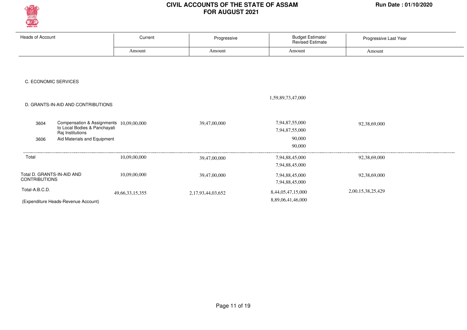

| <b>Heads of Account</b>                                 | Current                                 | Progressive       | Budget Estimate/<br>Revised Estimate | Progressive Last Year |  |
|---------------------------------------------------------|-----------------------------------------|-------------------|--------------------------------------|-----------------------|--|
|                                                         | Amount                                  | Amount            | Amount                               | Amount                |  |
|                                                         |                                         |                   |                                      |                       |  |
|                                                         |                                         |                   |                                      |                       |  |
| C. ECONOMIC SERVICES                                    |                                         |                   |                                      |                       |  |
|                                                         |                                         |                   |                                      |                       |  |
|                                                         |                                         |                   | 1,59,89,73,47,000                    |                       |  |
| D. GRANTS-IN-AID AND CONTRIBUTIONS                      |                                         |                   |                                      |                       |  |
|                                                         |                                         |                   |                                      |                       |  |
| 3604<br>to Local Bodies & Panchayati                    | Compensation & Assignments 10,09,00,000 | 39,47,00,000      | 7,94,87,55,000<br>7,94,87,55,000     | 92,38,69,000          |  |
| Raj Institutions<br>Aid Materials and Equipment<br>3606 |                                         |                   | 90,000                               |                       |  |
|                                                         |                                         |                   | 90,000                               |                       |  |
| Total                                                   | 10,09,00,000                            | 39,47,00,000      | 7,94,88,45,000                       | 92,38,69,000          |  |
|                                                         |                                         |                   | 7,94,88,45,000                       |                       |  |
| Total D. GRANTS-IN-AID AND                              | 10,09,00,000                            | 39,47,00,000      | 7,94,88,45,000                       | 92,38,69,000          |  |
| <b>CONTRIBUTIONS</b>                                    |                                         |                   | 7,94,88,45,000                       |                       |  |
| Total-A.B.C.D.                                          | 49, 66, 33, 15, 355                     | 2,17,93,44,03,652 | 8,44,05,47,15,000                    | 2,00,15,38,25,429     |  |
| (Expenditure Heads-Revenue Account)                     |                                         |                   | 8,89,06,41,46,000                    |                       |  |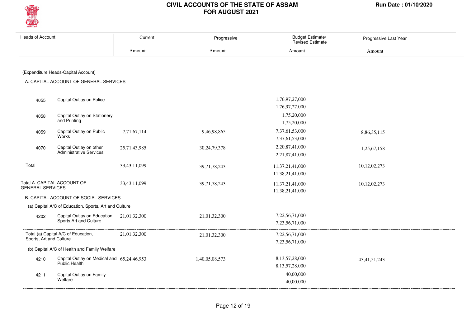

| <b>Heads of Account</b>                      |                                                             | Current      | Progressive     | Budget Estimate/<br><b>Revised Estimate</b> | Progressive Last Year |
|----------------------------------------------|-------------------------------------------------------------|--------------|-----------------|---------------------------------------------|-----------------------|
|                                              |                                                             | Amount       | Amount          | Amount                                      | Amount                |
|                                              |                                                             |              |                 |                                             |                       |
|                                              | (Expenditure Heads-Capital Account)                         |              |                 |                                             |                       |
|                                              | A. CAPITAL ACCOUNT OF GENERAL SERVICES                      |              |                 |                                             |                       |
|                                              |                                                             |              |                 |                                             |                       |
| 4055                                         | Capital Outlay on Police                                    |              |                 | 1,76,97,27,000                              |                       |
|                                              |                                                             |              |                 | 1,76,97,27,000                              |                       |
| 4058                                         | Capital Outlay on Stationery                                |              |                 | 1,75,20,000                                 |                       |
|                                              | and Printing                                                |              |                 | 1,75,20,000                                 |                       |
| 4059                                         | Capital Outlay on Public                                    | 7,71,67,114  | 9,46,98,865     | 7,37,61,53,000                              | 8,86,35,115           |
|                                              | Works                                                       |              |                 | 7,37,61,53,000                              |                       |
| 4070                                         | Capital Outlay on other<br>Administrative Services          | 25,71,43,985 | 30, 24, 79, 378 | 2,20,87,41,000                              | 1,25,67,158           |
|                                              |                                                             |              |                 | 2,21,87,41,000                              |                       |
| Total                                        |                                                             | 33,43,11,099 | 39,71,78,243    | 11,37,21,41,000                             | 10,12,02,273          |
|                                              |                                                             |              |                 | 11,38,21,41,000                             |                       |
|                                              | Total A. CAPITAL ACCOUNT OF                                 | 33,43,11,099 | 39,71,78,243    | 11,37,21,41,000                             | 10,12,02,273          |
| <b>GENERAL SERVICES</b>                      |                                                             |              |                 | 11,38,21,41,000                             |                       |
|                                              | B. CAPITAL ACCOUNT OF SOCIAL SERVICES                       |              |                 |                                             |                       |
|                                              | (a) Capital A/C of Education, Sports, Art and Culture       |              |                 |                                             |                       |
| 4202                                         | Capital Outlay on Education, 21,01,32,300                   |              | 21,01,32,300    | 7,22,56,71,000                              |                       |
|                                              | Sports, Art and Culture                                     |              |                 | 7,23,56,71,000                              |                       |
|                                              | Total (a) Capital A/C of Education,                         | 21,01,32,300 | 21,01,32,300    | 7,22,56,71,000                              |                       |
| Sports, Art and Culture                      |                                                             |              |                 | 7,23,56,71,000                              |                       |
| (b) Capital A/C of Health and Family Welfare |                                                             |              |                 |                                             |                       |
| 4210                                         | Capital Outlay on Medical and 65,24,46,953<br>Public Health |              | 1,40,05,08,573  | 8,13,57,28,000                              | 43, 41, 51, 243       |
|                                              |                                                             |              |                 | 8,13,57,28,000                              |                       |
| 4211                                         | Capital Outlay on Family<br>Welfare                         |              |                 | 40,00,000                                   |                       |
|                                              |                                                             |              |                 | 40,00,000                                   |                       |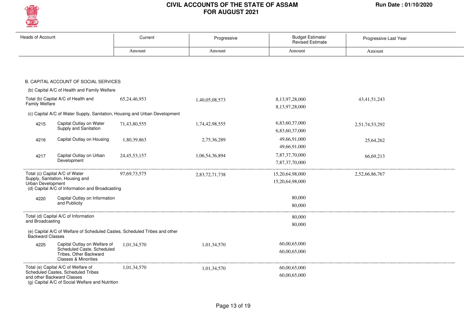

| <b>Heads of Account</b>  |                                                                                         | Current                                                                    | Progressive    | <b>Budget Estimate/</b><br><b>Revised Estimate</b> | Progressive Last Year |
|--------------------------|-----------------------------------------------------------------------------------------|----------------------------------------------------------------------------|----------------|----------------------------------------------------|-----------------------|
|                          |                                                                                         | Amount                                                                     | Amount         | Amount                                             | Amount                |
|                          |                                                                                         |                                                                            |                |                                                    |                       |
|                          |                                                                                         |                                                                            |                |                                                    |                       |
|                          | B. CAPITAL ACCOUNT OF SOCIAL SERVICES                                                   |                                                                            |                |                                                    |                       |
|                          | (b) Capital A/C of Health and Family Welfare                                            |                                                                            |                |                                                    |                       |
|                          | Total (b) Capital A/C of Health and                                                     | 65,24,46,953                                                               | 1,40,05,08,573 | 8,13,97,28,000                                     | 43, 41, 51, 243       |
| <b>Family Welfare</b>    |                                                                                         |                                                                            |                | 8,13,97,28,000                                     |                       |
|                          |                                                                                         | (c) Capital A/C of Water Supply, Sanitation, Housing and Urban Development |                |                                                    |                       |
| 4215                     | Capital Outlay on Water                                                                 | 71,43,80,555                                                               | 1,74,42,98,555 | 6,83,60,37,000                                     | 2,51,74,53,292        |
|                          | Supply and Sanitation                                                                   |                                                                            |                | 6,83,60,37,000                                     |                       |
| 4216                     | Capital Outlay on Housing                                                               | 1,80,39,863                                                                | 2,75,36,289    | 49,66,91,000                                       | 25,64,262             |
|                          |                                                                                         |                                                                            |                | 49,66,91,000                                       |                       |
| 4217                     | Capital Outlay on Urban                                                                 | 24, 45, 53, 157                                                            | 1,06,54,36,894 | 7,87,37,70,000                                     | 66,69,213             |
|                          | Development                                                                             |                                                                            |                | 7,87,37,70,000                                     |                       |
|                          | Total (c) Capital A/C of Water                                                          | 97,69,73,575                                                               | 2,83,72,71,738 | 15,20,64,98,000                                    | 2,52,66,86,767        |
| <b>Urban Development</b> | Supply, Sanitation, Housing and                                                         |                                                                            |                | 15,20,64,98,000                                    |                       |
|                          | (d) Capital A/C of Information and Broadcasting                                         |                                                                            |                |                                                    |                       |
| 4220                     | Capital Outlay on Information                                                           |                                                                            |                | 80,000                                             |                       |
|                          | and Publicity                                                                           |                                                                            |                | 80,000                                             |                       |
|                          | Total (d) Capital A/C of Information                                                    |                                                                            |                | 80,000                                             |                       |
| and Broadcasting         |                                                                                         |                                                                            |                | 80,000                                             |                       |
| Backward Classes         |                                                                                         | (e) Capital A/C of Welfare of Scheduled Castes, Scheduled Tribes and other |                |                                                    |                       |
| 4225                     | Capital Outlay on Welfare of                                                            | 1,01,34,570                                                                | 1,01,34,570    | 60,00,65,000                                       |                       |
|                          | Scheduled Caste, Scheduled<br>Tribes, Other Backward<br><b>Classes &amp; Minorities</b> |                                                                            |                | 60,00,65,000                                       |                       |
|                          | Total (e) Capital A/C of Welfare of                                                     | 1,01,34,570                                                                | 1,01,34,570    | 60,00,65,000                                       |                       |
|                          | Scheduled Castes, Scheduled Tribes<br>and other Backward Classes                        |                                                                            |                | 60,00,65,000                                       |                       |
|                          | (g) Capital A/C of Social Welfare and Nutrition                                         |                                                                            |                |                                                    |                       |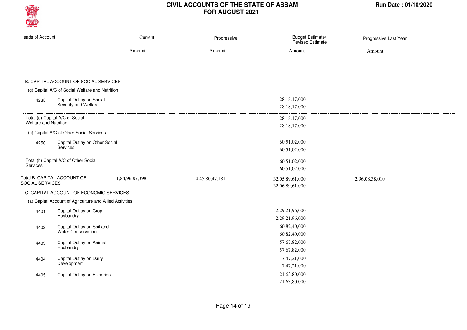

| <b>Heads of Account</b>                                  | Current        | Progressive    | Budget Estimate/<br>Revised Estimate | Progressive Last Year |
|----------------------------------------------------------|----------------|----------------|--------------------------------------|-----------------------|
|                                                          | Amount         | Amount         | Amount                               | Amount                |
|                                                          |                |                |                                      |                       |
|                                                          |                |                |                                      |                       |
|                                                          |                |                |                                      |                       |
| B. CAPITAL ACCOUNT OF SOCIAL SERVICES                    |                |                |                                      |                       |
| (g) Capital A/C of Social Welfare and Nutrition          |                |                |                                      |                       |
| Capital Outlay on Social<br>4235                         |                |                | 28, 18, 17, 000                      |                       |
| Security and Welfare                                     |                |                | 28, 18, 17, 000                      |                       |
| Total (g) Capital A/C of Social                          |                |                | 28, 18, 17, 000                      |                       |
| <b>Welfare and Nutrition</b>                             |                |                | 28, 18, 17, 000                      |                       |
| (h) Capital A/C of Other Social Services                 |                |                |                                      |                       |
| Capital Outlay on Other Social<br>4250                   |                |                | 60,51,02,000                         |                       |
| Services                                                 |                |                | 60,51,02,000                         |                       |
| Total (h) Capital A/C of Other Social                    |                |                | 60,51,02,000                         |                       |
| Services                                                 |                |                | 60,51,02,000                         |                       |
| Total B. CAPITAL ACCOUNT OF                              | 1,84,96,87,398 | 4,45,80,47,181 | 32,05,89,61,000                      | 2,96,08,38,010        |
| SOCIAL SERVICES                                          |                |                | 32,06,89,61,000                      |                       |
| C. CAPITAL ACCOUNT OF ECONOMIC SERVICES                  |                |                |                                      |                       |
| (a) Capital Account of Agriculture and Allied Activities |                |                |                                      |                       |
| Capital Outlay on Crop<br>4401                           |                |                | 2,29,21,96,000                       |                       |
| Husbandry                                                |                |                | 2,29,21,96,000                       |                       |
| Capital Outlay on Soil and<br>4402                       |                |                | 60,82,40,000                         |                       |
| Water Conservation                                       |                |                | 60,82,40,000                         |                       |
| Capital Outlay on Animal<br>4403                         |                |                | 57,67,82,000                         |                       |
| Husbandry                                                |                |                | 57,67,82,000                         |                       |
| Capital Outlay on Dairy<br>4404                          |                |                | 7,47,21,000                          |                       |
| Development                                              |                |                | 7,47,21,000                          |                       |
| Capital Outlay on Fisheries<br>4405                      |                |                | 21,63,80,000                         |                       |
|                                                          |                |                | 21,63,80,000                         |                       |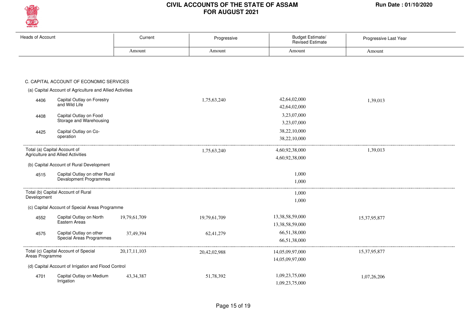

| <b>Heads of Account</b> |                                                                   | Current         | Progressive  | Budget Estimate/<br><b>Revised Estimate</b> | Progressive Last Year |
|-------------------------|-------------------------------------------------------------------|-----------------|--------------|---------------------------------------------|-----------------------|
|                         |                                                                   | Amount          | Amount       | Amount                                      | Amount                |
|                         |                                                                   |                 |              |                                             |                       |
|                         | C. CAPITAL ACCOUNT OF ECONOMIC SERVICES                           |                 |              |                                             |                       |
|                         | (a) Capital Account of Agriculture and Allied Activities          |                 |              |                                             |                       |
| 4406                    | Capital Outlay on Forestry<br>and Wild Life                       |                 | 1,75,63,240  | 42,64,02,000<br>42,64,02,000                | 1,39,013              |
| 4408                    | Capital Outlay on Food<br>Storage and Warehousing                 |                 |              | 3,23,07,000<br>3,23,07,000                  |                       |
| 4425                    | Capital Outlay on Co-<br>operation                                |                 |              | 38,22,10,000<br>38,22,10,000                |                       |
|                         | Total (a) Capital Account of<br>Agriculture and Allied Activities |                 | 1,75,63,240  | 4,60,92,38,000<br>4,60,92,38,000            | 1,39,013              |
|                         | (b) Capital Account of Rural Development                          |                 |              |                                             |                       |
| 4515                    | Capital Outlay on other Rural<br>Devalopment Programmes           |                 |              | 1,000<br>1,000                              |                       |
| Development             | Total (b) Capital Account of Rural                                |                 |              | 1,000                                       |                       |
|                         | (c) Capital Account of Special Areas Programme                    |                 |              | 1,000                                       |                       |
| 4552                    | Capital Outlay on North<br>Eastern Areas                          | 19,79,61,709    | 19,79,61,709 | 13,38,58,59,000<br>13,38,58,59,000          | 15,37,95,877          |
| 4575                    | Capital Outlay on other<br>Special Areas Programmes               | 37,49,394       | 62,41,279    | 66,51,38,000<br>66,51,38,000                |                       |
| Areas Programme         | Total (c) Capital Account of Special                              | 20, 17, 11, 103 | 20,42,02,988 | 14,05,09,97,000<br>14,05,09,97,000          | 15,37,95,877          |
|                         | (d) Capital Account of Irrigation and Flood Control               |                 |              |                                             |                       |
| 4701                    | Capital Outlay on Medium<br>Irrigation                            | 43, 34, 387     | 51,78,392    | 1,09,23,75,000<br>1,09,23,75,000            | 1,07,26,206           |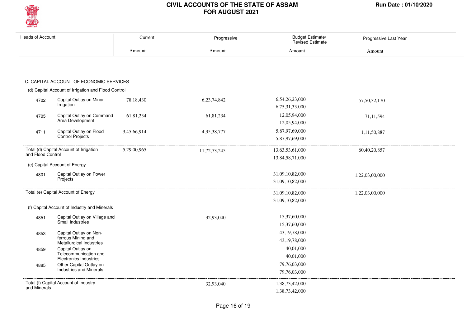

| <b>Heads of Account</b> |                                                        | Current     | Progressive  | Budget Estimate/<br>Revised Estimate | Progressive Last Year |
|-------------------------|--------------------------------------------------------|-------------|--------------|--------------------------------------|-----------------------|
|                         |                                                        | Amount      | Amount       | Amount                               | Amount                |
|                         |                                                        |             |              |                                      |                       |
|                         | C. CAPITAL ACCOUNT OF ECONOMIC SERVICES                |             |              |                                      |                       |
|                         | (d) Capital Account of Irrigation and Flood Control    |             |              |                                      |                       |
| 4702                    | Capital Outlay on Minor<br>Irrigation                  | 78,18,430   | 6,23,74,842  | 6,54,26,23,000<br>6,75,31,33,000     | 57,50,32,170          |
| 4705                    | Capital Outlay on Command<br>Area Development          | 61,81,234   | 61,81,234    | 12,05,94,000<br>12,05,94,000         | 71,11,594             |
| 4711                    | Capital Outlay on Flood<br>Control Projects            | 3,45,66,914 | 4,35,38,777  | 5,87,97,69,000<br>5,87,97,69,000     | 1,11,50,887           |
| and Flood Control       | Total (d) Capital Account of Irrigation                | 5,29,00,965 | 11,72,73,245 | 13,63,53,61,000<br>13,84,58,71,000   | 60,40,20,857          |
|                         | (e) Capital Account of Energy                          |             |              |                                      |                       |
| 4801                    | Capital Outlay on Power                                |             |              | 31,09,10,82,000                      | 1,22,03,00,000        |
|                         | Projects                                               |             |              | 31.09.10.82.000                      |                       |
|                         | Total (e) Capital Account of Energy                    |             |              | 31,09,10,82,000                      | 1,22,03,00,000        |
|                         |                                                        |             |              | 31,09,10,82,000                      |                       |
|                         | (f) Capital Account of Industry and Minerals           |             |              |                                      |                       |
| 4851                    | Capital Outlay on Village and                          |             | 32,93,040    | 15,37,60,000                         |                       |
|                         | Small Industries                                       |             |              | 15,37,60,000                         |                       |
| 4853                    | Capital Outlay on Non-                                 |             |              | 43, 19, 78, 000                      |                       |
|                         | ferrous Mining and<br>Metallurgical Industries         |             |              | 43, 19, 78, 000                      |                       |
| 4859                    | Capital Outlay on                                      |             |              | 40,01,000                            |                       |
|                         | Telecommunication and<br><b>Electronics Industries</b> |             |              | 40,01,000                            |                       |
| 4885                    | Other Capital Outlay on                                |             |              | 79,76,03,000                         |                       |
|                         | <b>Industries and Minerals</b>                         |             |              | 79,76,03,000                         |                       |
|                         | Total (f) Capital Account of Industry                  |             | 32,93,040    | 1,38,73,42,000                       |                       |
| and Minerals            |                                                        |             |              | 1,38,73,42,000                       |                       |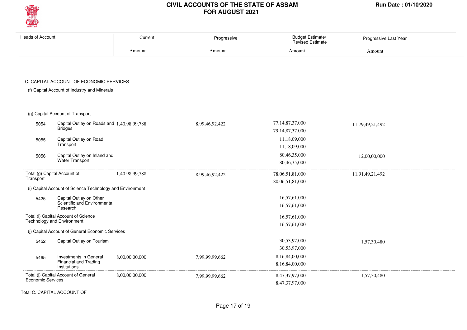

| <b>Heads of Account</b>  |                                                                           | Current        | Progressive    | Budget Estimate/<br><b>Revised Estimate</b> | Progressive Last Year |
|--------------------------|---------------------------------------------------------------------------|----------------|----------------|---------------------------------------------|-----------------------|
|                          |                                                                           | Amount         | Amount         | Amount                                      | Amount                |
|                          | C. CAPITAL ACCOUNT OF ECONOMIC SERVICES                                   |                |                |                                             |                       |
|                          | (f) Capital Account of Industry and Minerals                              |                |                |                                             |                       |
|                          | (g) Capital Account of Transport                                          |                |                |                                             |                       |
| 5054                     | Capital Outlay on Roads and 1,40,98,99,788<br><b>Bridges</b>              |                | 8,99,46,92,422 | 77,14,87,37,000<br>79, 14, 87, 37, 000      | 11,79,49,21,492       |
| 5055                     | Capital Outlay on Road<br>Transport                                       |                |                | 11,18,09,000<br>11,18,09,000                |                       |
| 5056                     | Capital Outlay on Inland and<br><b>Water Transport</b>                    |                |                | 80,46,35,000<br>80,46,35,000                | 12,00,00,000          |
| Transport                | Total (g) Capital Account of                                              | 1,40,98,99,788 | 8,99,46,92,422 | 78,06,51,81,000<br>80,06,51,81,000          | 11,91,49,21,492       |
|                          | (i) Capital Account of Science Technology and Environment                 |                |                |                                             |                       |
| 5425                     | Capital Outlay on Other<br>Scientific and Environmental<br>Research       |                |                | 16,57,61,000<br>16,57,61,000                |                       |
|                          | Total (i) Capital Account of Science<br><b>Technology and Environment</b> |                |                | 16,57,61,000<br>16,57,61,000                |                       |
|                          | (j) Capital Account of General Economic Services                          |                |                |                                             |                       |
| 5452                     | Capital Outlay on Tourism                                                 |                |                | 30,53,97,000<br>30,53,97,000                | 1,57,30,480           |
| 5465                     | Investments in General<br>Financial and Trading<br>Institutions           | 8,00,00,00,000 | 7,99,99,99,662 | 8,16,84,00,000<br>8,16,84,00,000            |                       |
| <b>Economic Services</b> | Total (j) Capital Account of General                                      | 8,00,00,00,000 | 7,99,99,99,662 | 8,47,37,97,000<br>8.47.37.97.000            | 1,57,30,480           |

Total C. CAPITAL ACCOUNT OF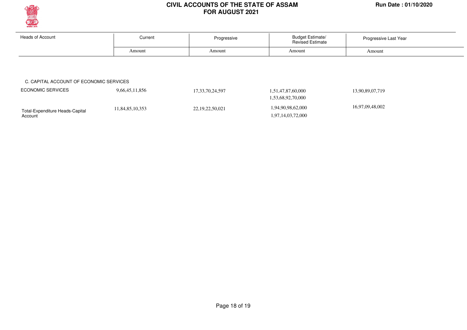

Account<sup>1</sup>

#### **CIVIL ACCOUNTS OF THE STATE OF ASSAM Run Date : 01/10/2020 FOR AUGUST 2021**

| <b>Heads of Account</b>                 | <b>Budget Estimate/</b><br>Current<br>Progressive<br><b>Revised Estimate</b> |                     | Progressive Last Year |                 |  |
|-----------------------------------------|------------------------------------------------------------------------------|---------------------|-----------------------|-----------------|--|
|                                         | Amount                                                                       | Amount              | Amount                | Amount          |  |
|                                         |                                                                              |                     |                       |                 |  |
|                                         |                                                                              |                     |                       |                 |  |
|                                         |                                                                              |                     |                       |                 |  |
| C. CAPITAL ACCOUNT OF ECONOMIC SERVICES |                                                                              |                     |                       |                 |  |
| <b>ECONOMIC SERVICES</b>                | 9,66,45,11,856                                                               | 17, 33, 70, 24, 597 | 1,51,47,87,60,000     | 13,90,89,07,719 |  |
|                                         |                                                                              |                     | 1,53,68,92,70,000     |                 |  |

1,97,14,03,72,000

Page 18 of 19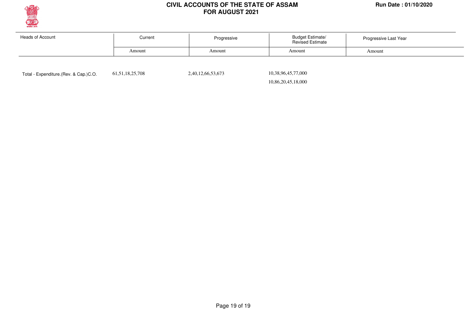

| Heads of Account | Current | <b>Budget Estimate/</b><br>Progressive<br><b>Revised Estimate</b> |        | Progressive Last Year |  |
|------------------|---------|-------------------------------------------------------------------|--------|-----------------------|--|
|                  | Amount  | Amount                                                            | Amount | Amount                |  |
|                  |         |                                                                   |        |                       |  |

Total - Expenditure.(Rev. & Cap.)C.O. 61,51,18,25,708 2,40,12,66,53,673

 10,38,96,45,77,000 10,86,20,45,18,000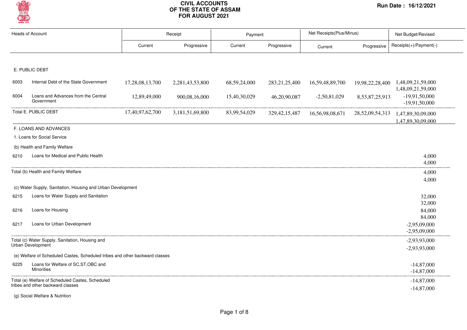

|      | <b>Heads of Account</b>                                                      |                 | Receipt         | Payment      |                  | Net Receipts(Plus/Minus) |                     | Net Budget/Revised                                      |
|------|------------------------------------------------------------------------------|-----------------|-----------------|--------------|------------------|--------------------------|---------------------|---------------------------------------------------------|
|      |                                                                              | Current         | Progressive     | Current      | Progressive      | Current                  | Progressive         | Receipts(+)/Payment(-)                                  |
|      |                                                                              |                 |                 |              |                  |                          |                     |                                                         |
|      | E. PUBLIC DEBT                                                               |                 |                 |              |                  |                          |                     |                                                         |
| 6003 | Internal Debt of the State Government                                        | 17,28,08,13,700 | 2,281,43,53,800 | 68,59,24,000 | 283, 21, 25, 400 | 16,59,48,89,700          |                     | 19,98,22,28,400  1,48,09,21,59,000<br>1,48,09,21,59,000 |
| 6004 | Loans and Advances from the Central<br>Government                            | 12,89,49,000    | 900,08,16,000   | 15,40,30,029 | 46,20,90,087     | $-2,50,81,029$           | 8,53,87,25,913      | $-19,91,50,000$<br>$-19,91,50,000$                      |
|      | Total E. PUBLIC DEBT                                                         | 17,40,97,62,700 | 3,181,51,69,800 | 83,99,54,029 | 329, 42, 15, 487 | 16,56,98,08,671          | 28, 52, 09, 54, 313 | 1,47,89,30,09,000<br>1,47,89,30,09,000                  |
|      | F. LOANS AND ADVANCES                                                        |                 |                 |              |                  |                          |                     |                                                         |
|      | 1. Loans for Social Service                                                  |                 |                 |              |                  |                          |                     |                                                         |
|      | (b) Health and Family Welfare                                                |                 |                 |              |                  |                          |                     |                                                         |
| 6210 | Loans for Medical and Public Health                                          |                 |                 |              |                  |                          |                     | 4,000<br>4,000                                          |
|      | Total (b) Health and Family Welfare                                          |                 |                 |              |                  |                          |                     | 4,000                                                   |
|      | (c) Water Supply, Sanitation, Housing and Urban Development                  |                 |                 |              |                  |                          |                     | 4,000                                                   |
| 6215 | Loans for Water Supply and Sanitation                                        |                 |                 |              |                  |                          |                     | 32,000                                                  |
|      |                                                                              |                 |                 |              |                  |                          |                     | 32,000                                                  |
| 6216 | Loans for Housing                                                            |                 |                 |              |                  |                          |                     | 84,000<br>84,000                                        |
| 6217 | Loans for Urban Development                                                  |                 |                 |              |                  |                          |                     | $-2,95,09,000$<br>$-2,95,09,000$                        |
|      | Total (c) Water Supply, Sanitation, Housing and                              |                 |                 |              |                  |                          |                     | $-2,93,93,000$                                          |
|      | Urban Development                                                            |                 |                 |              |                  |                          |                     | $-2,93,93,000$                                          |
|      | (e) Welfare of Scheduled Castes, Scheduled tribes and other backward classes |                 |                 |              |                  |                          |                     |                                                         |
| 6225 | Loans for Welfare of SC, ST, OBC and<br><b>Minorities</b>                    |                 |                 |              |                  |                          |                     | $-14,87,000$<br>$-14,87,000$                            |
|      | Total (e) Welfare of Scheduled Castes, Scheduled                             |                 |                 |              |                  |                          |                     | $-14,87,000$                                            |
|      | tribes and other backward classes                                            |                 |                 |              |                  |                          |                     | $-14,87,000$                                            |

(g) Social Welfare & Nutrition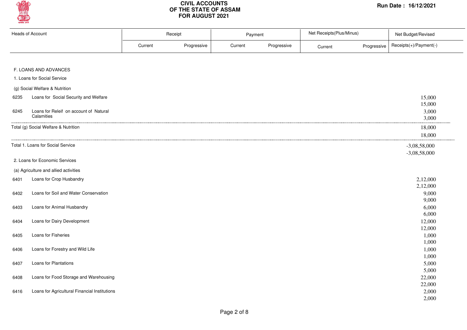

| <b>Heads of Account</b> |                                               | Receipt |             | Payment |             | Net Receipts(Plus/Minus) |             | Net Budget/Revised     |
|-------------------------|-----------------------------------------------|---------|-------------|---------|-------------|--------------------------|-------------|------------------------|
|                         |                                               | Current | Progressive | Current | Progressive | Current                  | Progressive | Receipts(+)/Payment(-) |
|                         |                                               |         |             |         |             |                          |             |                        |
|                         | F. LOANS AND ADVANCES                         |         |             |         |             |                          |             |                        |
|                         | 1. Loans for Social Service                   |         |             |         |             |                          |             |                        |
|                         | (g) Social Welfare & Nutrition                |         |             |         |             |                          |             |                        |
| 6235                    | Loans for Social Security and Welfare         |         |             |         |             |                          |             | 15,000                 |
|                         |                                               |         |             |         |             |                          |             | 15,000                 |
| 6245                    | Loans for Releif on account of Natural        |         |             |         |             |                          |             | 3,000                  |
|                         | Calamities                                    |         |             |         |             |                          |             | 3,000                  |
|                         | Total (g) Social Welfare & Nutrition          |         |             |         |             |                          |             | 18,000                 |
|                         |                                               |         |             |         |             |                          |             | 18,000                 |
|                         | Total 1. Loans for Social Service             |         |             |         |             |                          |             | $-3,08,58,000$         |
|                         |                                               |         |             |         |             |                          |             | $-3,08,58,000$         |
|                         | 2. Loans for Economic Services                |         |             |         |             |                          |             |                        |
|                         | (a) Agriculture and allied activities         |         |             |         |             |                          |             |                        |
| 6401                    | Loans for Crop Husbandry                      |         |             |         |             |                          |             | 2,12,000               |
|                         |                                               |         |             |         |             |                          |             | 2,12,000               |
| 6402                    | Loans for Soil and Water Conservation         |         |             |         |             |                          |             | 9,000                  |
|                         |                                               |         |             |         |             |                          |             | 9,000                  |
| 6403                    | Loans for Animal Husbandry                    |         |             |         |             |                          |             | 6,000                  |
|                         |                                               |         |             |         |             |                          |             | 6,000                  |
| 6404                    | Loans for Dairy Development                   |         |             |         |             |                          |             | 12,000<br>12,000       |
| 6405                    | Loans for Fisheries                           |         |             |         |             |                          |             | 1,000                  |
|                         |                                               |         |             |         |             |                          |             | 1,000                  |
| 6406                    | Loans for Forestry and Wild Life              |         |             |         |             |                          |             | 1,000                  |
|                         |                                               |         |             |         |             |                          |             | 1,000                  |
| 6407                    | Loans for Plantations                         |         |             |         |             |                          |             | 5,000                  |
|                         |                                               |         |             |         |             |                          |             | 5,000                  |
| 6408                    | Loans for Food Storage and Warehousing        |         |             |         |             |                          |             | 22,000                 |
|                         |                                               |         |             |         |             |                          |             | 22,000                 |
| 6416                    | Loans for Agricultural Financial Institutions |         |             |         |             |                          |             | 2,000                  |
|                         |                                               |         |             |         |             |                          |             | 2,000                  |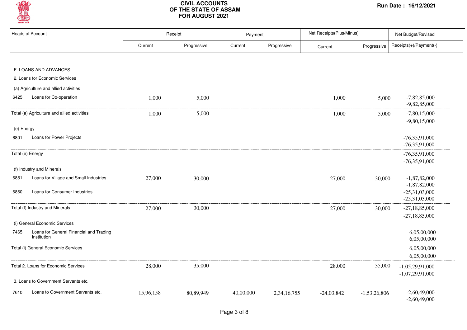

|            | <b>Heads of Account</b>                                |           | Receipt     | Payment   |             | Net Receipts(Plus/Minus) |                | Net Budget/Revised                 |
|------------|--------------------------------------------------------|-----------|-------------|-----------|-------------|--------------------------|----------------|------------------------------------|
|            |                                                        | Current   | Progressive | Current   | Progressive | Current                  | Progressive    | Receipts(+)/Payment(-)             |
|            |                                                        |           |             |           |             |                          |                |                                    |
|            | F. LOANS AND ADVANCES                                  |           |             |           |             |                          |                |                                    |
|            | 2. Loans for Economic Services                         |           |             |           |             |                          |                |                                    |
|            | (a) Agriculture and allied activities                  |           |             |           |             |                          |                |                                    |
| 6425       | Loans for Co-operation                                 | 1,000     | 5,000       |           |             | 1,000                    | 5,000          | $-7,82,85,000$<br>$-9,82,85,000$   |
|            | Total (a) Agriculture and allied activities            | 1,000     | 5,000       |           |             | 1,000                    | 5,000          | $-7,80,15,000$                     |
| (e) Energy |                                                        |           |             |           |             |                          |                | $-9,80,15,000$                     |
| 6801       | Loans for Power Projects                               |           |             |           |             |                          |                | $-76,35,91,000$<br>$-76,35,91,000$ |
|            | Total (e) Energy                                       |           |             |           |             |                          |                | $-76,35,91,000$                    |
|            | (f) Industry and Minerals                              |           |             |           |             |                          |                | $-76,35,91,000$                    |
| 6851       | Loans for Village and Small Industries                 | 27,000    | 30,000      |           |             | 27,000                   | 30,000         | $-1,87,82,000$<br>$-1,87,82,000$   |
| 6860       | Loans for Consumer Industries                          |           |             |           |             |                          |                | $-25,31,03,000$<br>$-25,31,03,000$ |
|            | Total (f) Industry and Minerals                        | 27,000    | 30,000      |           |             | 27,000                   | 30,000         | $-27,18,85,000$                    |
|            | (i) General Economic Services                          |           |             |           |             |                          |                | $-27,18,85,000$                    |
| 7465       | Loans for General Financial and Trading<br>Institution |           |             |           |             |                          |                | 6,05,00,000<br>6,05,00,000         |
|            | Total (i) General Economic Services                    |           |             |           |             |                          |                | 6,05,00,000<br>6,05,00,000         |
|            | Total 2. Loans for Economic Services                   | 28,000    | 35,000      |           |             | 28,000                   | 35,000         | $-1,05,29,91,000$                  |
|            | 3. Loans to Government Servants etc.                   |           |             |           |             |                          |                | $-1,07,29,91,000$                  |
| 7610       | Loans to Government Servants etc.                      | 15,96,158 | 80,89,949   | 40,00,000 | 2,34,16,755 | $-24,03,842$             | $-1,53,26,806$ | $-2,60,49,000$<br>$-2,60,49,000$   |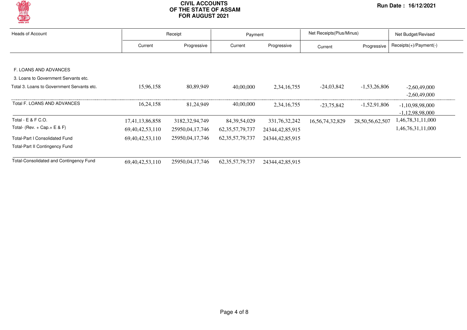

| <b>Heads of Account</b>                        |                     | Receipt           |                     | Payment            |                     | Net Receipts (Plus/Minus) | Net Budget/Revised       |  |
|------------------------------------------------|---------------------|-------------------|---------------------|--------------------|---------------------|---------------------------|--------------------------|--|
|                                                | Current             | Progressive       | Current             | Progressive        | Current             | Progressive               | $Receipts(+)/Payment(-)$ |  |
|                                                |                     |                   |                     |                    |                     |                           |                          |  |
| F. LOANS AND ADVANCES                          |                     |                   |                     |                    |                     |                           |                          |  |
| 3. Loans to Government Servants etc.           |                     |                   |                     |                    |                     |                           |                          |  |
| Total 3. Loans to Government Servants etc.     | 15,96,158           | 80,89,949         | 40,00,000           | 2, 34, 16, 755     | $-24,03,842$        | $-1,53,26,806$            | $-2,60,49,000$           |  |
|                                                |                     |                   |                     |                    |                     |                           | $-2,60,49,000$           |  |
| Total F. LOANS AND ADVANCES                    | 16, 24, 158         | 81,24,949         | 40,00,000           | 2, 34, 16, 755     | $-23.75.842$        | $-1,52,91,806$            | $-1,10,98,98,000$        |  |
|                                                |                     |                   |                     |                    |                     |                           | $-1,12,98,98,000$        |  |
| Total - E & F C.O.                             | 17,41,13,86,858     | 3182, 32, 94, 749 | 84, 39, 54, 029     | 331,76,32,242      | 16, 56, 74, 32, 829 | 28,50,56,62,507           | 1,46,78,31,11,000        |  |
| Total- (Rev. + Cap. + $E$ & F)                 | 69, 40, 42, 53, 110 | 25950,04,17,746   | 62, 35, 57, 79, 737 | 24344,42,85,915    |                     |                           | 1,46,76,31,11,000        |  |
| <b>Total-Part I Consolidated Fund</b>          | 69, 40, 42, 53, 110 | 25950,04,17,746   | 62, 35, 57, 79, 737 | 24344, 42, 85, 915 |                     |                           |                          |  |
| <b>Total-Part II Contingency Fund</b>          |                     |                   |                     |                    |                     |                           |                          |  |
| <b>Total-Consolidated and Contingency Fund</b> | 69, 40, 42, 53, 110 | 25950,04,17,746   | 62, 35, 57, 79, 737 | 24344, 42, 85, 915 |                     |                           |                          |  |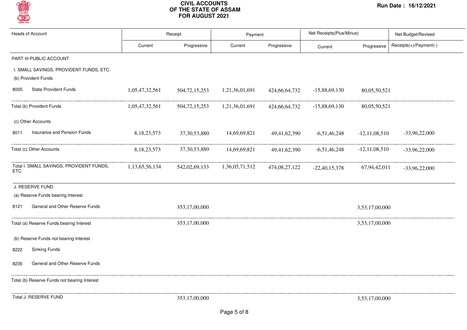

| <b>Heads of Account</b>                                        | Receipt        |                  | Payment        |               | Net Receipts(Plus/Minus) |                    | Net Budget/Revised     |  |
|----------------------------------------------------------------|----------------|------------------|----------------|---------------|--------------------------|--------------------|------------------------|--|
|                                                                | Current        | Progressive      | Current        | Progressive   | Current                  | Progressive        | Receipts(+)/Payment(-) |  |
| PART III-PUBLIC ACCOUNT                                        |                |                  |                |               |                          |                    |                        |  |
| I. SMALL SAVINGS, PROVIDENT FUNDS, ETC.<br>(b) Provident Funds |                |                  |                |               |                          |                    |                        |  |
| <b>State Provident Funds</b><br>8005                           | 1,05,47,32,561 | 504, 72, 15, 253 | 1,21,36,01,691 | 424,66,64,732 | $-15,88,69,130$          | 80,05,50,521       |                        |  |
| Total (b) Provident Funds                                      | 1,05,47,32,561 | 504, 72, 15, 253 | 1,21,36,01,691 | 424,66,64,732 | $-15,88,69,130$          | 80,05,50,521       |                        |  |
| (c) Other Accounts                                             |                |                  |                |               |                          |                    |                        |  |
| Insurance and Pension Funds<br>8011                            | 8,18,23,573    | 37, 30, 53, 880  | 14,69,69,821   | 49,41,62,390  | $-6,51,46,248$           | $-12, 11, 08, 510$ | $-33,96,22,000$        |  |
| Total (c) Other Accounts                                       | 8, 18, 23, 573 | 37, 30, 53, 880  | 14,69,69,821   | 49,41,62,390  | $-6,51,46,248$           | $-12, 11, 08, 510$ | $-33,96,22,000$        |  |
| Total I. SMALL SAVINGS, PROVIDENT FUNDS,<br>ETC.               | 1,13,65,56,134 | 542,02,69,133    | 1,36,05,71,512 | 474,08,27,122 | $-22,40,15,378$          | 67,94,42,011       | $-33,96,22,000$        |  |
| J. RESERVE FUND                                                |                |                  |                |               |                          |                    |                        |  |
| (a) Reserve Funds bearing Interest                             |                |                  |                |               |                          |                    |                        |  |
| General and Other Reserve Funds<br>8121                        |                | 353,17,00,000    |                |               |                          | 3,53,17,00,000     |                        |  |
| Total (a) Reserve Funds bearing Interest                       |                | 353,17,00,000    |                |               |                          | 3,53,17,00,000     |                        |  |
| (b) Reserve Funds not bearing Interest                         |                |                  |                |               |                          |                    |                        |  |
| <b>Sinking Funds</b><br>8222                                   |                |                  |                |               |                          |                    |                        |  |
| General and Other Reserve Funds<br>8235                        |                |                  |                |               |                          |                    |                        |  |
| Total (b) Reserve Funds not bearing Interest                   |                |                  |                |               |                          |                    |                        |  |
| Total J. RESERVE FUND                                          |                | 353,17,00,000    |                |               |                          | 3,53,17,00,000     |                        |  |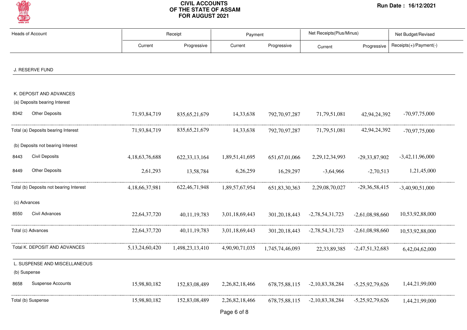

| <b>Heads of Account</b>                                  |                | Receipt          |                | Payment          |                   | Net Receipts(Plus/Minus) | Net Budget/Revised     |
|----------------------------------------------------------|----------------|------------------|----------------|------------------|-------------------|--------------------------|------------------------|
|                                                          | Current        | Progressive      | Current        | Progressive      | Current           | Progressive              | Receipts(+)/Payment(-) |
| J. RESERVE FUND                                          |                |                  |                |                  |                   |                          |                        |
|                                                          |                |                  |                |                  |                   |                          |                        |
| K. DEPOSIT AND ADVANCES<br>(a) Deposits bearing Interest |                |                  |                |                  |                   |                          |                        |
| <b>Other Deposits</b><br>8342                            | 71,93,84,719   | 835, 65, 21, 679 | 14,33,638      | 792,70,97,287    | 71,79,51,081      | 42,94,24,392             | $-70,97,75,000$        |
| Total (a) Deposits bearing Interest                      | 71,93,84,719   | 835, 65, 21, 679 | 14, 33, 638    | 792,70,97,287    | 71, 79, 51, 081   | 42,94,24,392             | $-70,97,75,000$        |
| (b) Deposits not bearing Interest                        |                |                  |                |                  |                   |                          |                        |
| <b>Civil Deposits</b><br>8443                            | 4,18,63,76,688 | 622, 33, 13, 164 | 1,89,51,41,695 | 651, 67, 01, 066 | 2,29,12,34,993    | $-29,33,87,902$          | $-3,42,11,96,000$      |
| <b>Other Deposits</b><br>8449                            | 2,61,293       | 13,58,784        | 6,26,259       | 16,29,297        | $-3,64,966$       | $-2,70,513$              | 1,21,45,000            |
| Total (b) Deposits not bearing Interest                  | 4,18,66,37,981 | 622, 46, 71, 948 | 1,89,57,67,954 | 651,83,30,363    | 2,29,08,70,027    | $-29,36,58,415$          | $-3,40,90,51,000$      |
| (c) Advances                                             |                |                  |                |                  |                   |                          |                        |
| Civil Advances<br>8550                                   | 22,64,37,720   | 40,11,19,783     | 3,01,18,69,443 | 301, 20, 18, 443 | $-2,78,54,31,723$ | $-2,61,08,98,660$        | 10,53,92,88,000        |
| Total (c) Advances                                       | 22,64,37,720   | 40,11,19,783     | 3,01,18,69,443 | 301, 20, 18, 443 | $-2,78,54,31,723$ | $-2,61,08,98,660$        | 10,53,92,88,000        |
| Total K. DEPOSIT AND ADVANCES                            | 5,13,24,60,420 | 1,498,23,13,410  | 4,90,90,71,035 | 1,745,74,46,093  | 22, 33, 89, 385   | $-2,47,51,32,683$        | 6,42,04,62,000         |
| L. SUSPENSE AND MISCELLANEOUS                            |                |                  |                |                  |                   |                          |                        |
| (b) Suspense                                             |                |                  |                |                  |                   |                          |                        |
| <b>Suspense Accounts</b><br>8658                         | 15,98,80,182   | 152,83,08,489    | 2,26,82,18,466 | 678, 75, 88, 115 | $-2,10,83,38,284$ | $-5,25,92,79,626$        | 1,44,21,99,000         |
| Total (b) Suspense                                       | 15,98,80,182   | 152,83,08,489    | 2,26,82,18,466 | 678, 75, 88, 115 | $-2,10,83,38,284$ | $-5,25,92,79,626$        | 1,44,21,99,000         |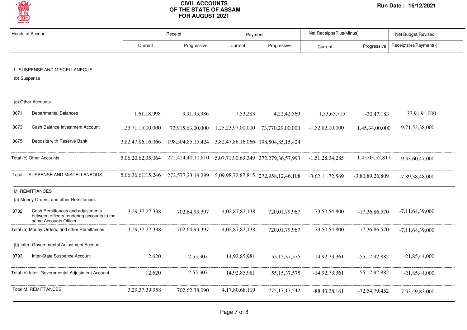

| <b>Heads of Account</b>                          |                                                                                                         | Receipt            |                                                                                         | Payment           |                  | Net Receipts(Plus/Minus) |                   | Net Budget/Revised     |
|--------------------------------------------------|---------------------------------------------------------------------------------------------------------|--------------------|-----------------------------------------------------------------------------------------|-------------------|------------------|--------------------------|-------------------|------------------------|
|                                                  |                                                                                                         | Current            | Progressive                                                                             | Current           | Progressive      | Current                  | Progressive       | Receipts(+)/Payment(-) |
|                                                  |                                                                                                         |                    |                                                                                         |                   |                  |                          |                   |                        |
|                                                  | L. SUSPENSE AND MISCELLANEOUS                                                                           |                    |                                                                                         |                   |                  |                          |                   |                        |
| (b) Suspense                                     |                                                                                                         |                    |                                                                                         |                   |                  |                          |                   |                        |
|                                                  | (c) Other Accounts                                                                                      |                    |                                                                                         |                   |                  |                          |                   |                        |
| 8671                                             | <b>Departmental Balances</b>                                                                            | 1,61,18,998        | 3,91,95,386                                                                             | 7,53,283          | 4,22,42,569      | 1,53,65,715              | $-30,47,183$      | 37,91,91,000           |
| 8673                                             | Cash Balance Investment Account                                                                         | 1,23,71,15,00,000  | 73,915,63,00,000                                                                        | 1,25,23,97,00,000 | 73,770,29,00,000 | $-1,52,82,00,000$        | 1,45,34,00,000    | $-9,71,52,38,000$      |
| 8675                                             | Deposits with Reserve Bank                                                                              | 3,82,47,86,16,066  |                                                                                         |                   |                  |                          |                   |                        |
| Total (c) Other Accounts                         |                                                                                                         |                    | 5,06,20,62,35,064 272,424,40,10,810 5,07,71,90,69,349 272,279,36,57,993 -1,51,28,34,285 |                   |                  |                          | 1,45,03,52,817    | $-9.33.60.47.000$      |
|                                                  | Total L. SUSPENSE AND MISCELLANEOUS                                                                     |                    | 5,06,36,61,15,246 272,577,23,19,299 5,09,98,72,87,815 272,958,12,46,108 -3,62,11,72,569 |                   |                  |                          | $-3,80,89,26,809$ | $-7,89,38,48,000$      |
|                                                  | M. REMITTANCES                                                                                          |                    |                                                                                         |                   |                  |                          |                   |                        |
|                                                  | (a) Money Orders, and other Remittances                                                                 |                    |                                                                                         |                   |                  |                          |                   |                        |
| 8782                                             | Cash Remittances and adjustments<br>between officers rendering accounts to the<br>same Accounts Officer | 3, 29, 37, 27, 338 | 702,64,93,397                                                                           | 4,02,87,82,138    | 720,01,79,967    | $-73,50,54,800$          | $-17,36,86,570$   | $-7,11,64,39,000$      |
|                                                  | Total (a) Money Orders, and other Remittances                                                           | 3, 29, 37, 27, 338 | 702,64,93,397                                                                           | 4,02,87,82,138    | 720,01,79,967    | $-73,50,54,800$          | $-17,36,86,570$   | $-7,11,64,39,000$      |
| (b) Inter- Governmental Adjustment Account       |                                                                                                         |                    |                                                                                         |                   |                  |                          |                   |                        |
| 8793                                             | Inter-State Suspence Account                                                                            | 12,620             | $-2,55,307$                                                                             | 14,92,85,981      | 55, 15, 37, 575  | $-14,92,73,361$          | $-55,17,92,882$   | $-21,85,44,000$        |
| Total (b) Inter- Governmental Adjustment Account |                                                                                                         | 12,620             | $-2,55,307$                                                                             | 14,92,85,981      | 55, 15, 37, 575  | $-14,92,73,361$          | $-55,17,92,882$   | $-21,85,44,000$        |
| <b>Total M. REMITTANCES</b>                      |                                                                                                         | 3, 29, 37, 39, 958 | 702,62,38,090                                                                           | 4,17,80,68,119    | 775, 17, 17, 542 | $-88,43,28,161$          | $-72,54,79,452$   | $-7,33,49,83,000$      |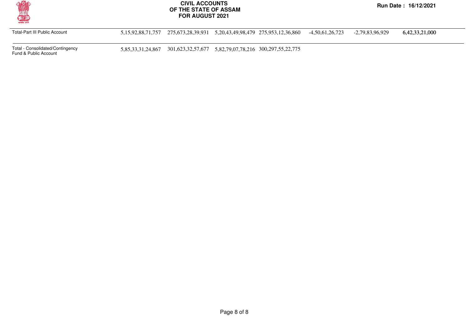

Total-Part III Public Account 5,15,92,88,71,757 275,673,28,39,931 5,20,43,49,98,479 275,953,12,36,860 -4,50,61,26,723 -2,79,83,96,929 6,42,33,21,000

Total - Consolidated/Contingency

5,85,33,31,24,867 301,623,32,57,677 5,82,79,07,78,216 300,297,55,22,775

Fund & Public Account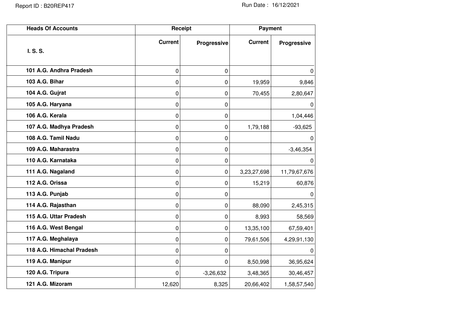| <b>Heads Of Accounts</b>  | Receipt        |             | <b>Payment</b> |              |  |
|---------------------------|----------------|-------------|----------------|--------------|--|
|                           | <b>Current</b> | Progressive | <b>Current</b> | Progressive  |  |
| I. S. S.                  |                |             |                |              |  |
| 101 A.G. Andhra Pradesh   | 0              | 0           |                | $\Omega$     |  |
| 103 A.G. Bihar            | 0              | 0           | 19,959         | 9,846        |  |
| 104 A.G. Gujrat           | 0              | 0           | 70,455         | 2,80,647     |  |
| 105 A.G. Haryana          | 0              | 0           |                | 0            |  |
| 106 A.G. Kerala           | 0              | 0           |                | 1,04,446     |  |
| 107 A.G. Madhya Pradesh   | 0              | 0           | 1,79,188       | $-93,625$    |  |
| 108 A.G. Tamil Nadu       | 0              | 0           |                | 0            |  |
| 109 A.G. Maharastra       | 0              | 0           |                | $-3,46,354$  |  |
| 110 A.G. Karnataka        | 0              | 0           |                | $\Omega$     |  |
| 111 A.G. Nagaland         | 0              | 0           | 3,23,27,698    | 11,79,67,676 |  |
| 112 A.G. Orissa           | 0              | 0           | 15,219         | 60,876       |  |
| 113 A.G. Punjab           | 0              | 0           |                | 0            |  |
| 114 A.G. Rajasthan        | 0              | 0           | 88,090         | 2,45,315     |  |
| 115 A.G. Uttar Pradesh    | 0              | 0           | 8,993          | 58,569       |  |
| 116 A.G. West Bengal      | 0              | 0           | 13,35,100      | 67,59,401    |  |
| 117 A.G. Meghalaya        | 0              | 0           | 79,61,506      | 4,29,91,130  |  |
| 118 A.G. Himachal Pradesh | 0              | 0           |                | 0            |  |
| 119 A.G. Manipur          | 0              | 0           | 8,50,998       | 36,95,624    |  |
| 120 A.G. Tripura          | 0              | $-3,26,632$ | 3,48,365       | 30,46,457    |  |
| 121 A.G. Mizoram          | 12,620         | 8,325       | 20,66,402      | 1,58,57,540  |  |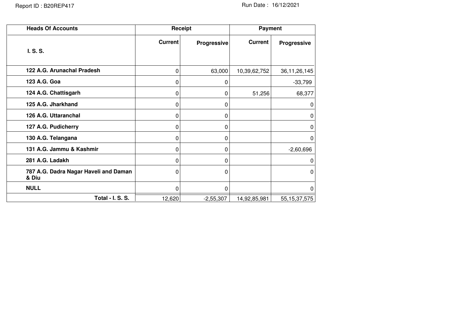| <b>Heads Of Accounts</b>                       | Receipt        |             | Payment        |                 |  |
|------------------------------------------------|----------------|-------------|----------------|-----------------|--|
| I. S. S.                                       | <b>Current</b> | Progressive | <b>Current</b> | Progressive     |  |
| 122 A.G. Arunachal Pradesh                     | 0              | 63,000      | 10,39,62,752   | 36, 11, 26, 145 |  |
| 123 A.G. Goa                                   | 0              | 0           |                | $-33,799$       |  |
| 124 A.G. Chattisgarh                           | 0              | 0           | 51,256         | 68,377          |  |
| 125 A.G. Jharkhand                             | 0              | 0           |                | $\mathbf 0$     |  |
| 126 A.G. Uttaranchal                           | 0              | 0           |                | 0               |  |
| 127 A.G. Pudicherry                            | 0              | 0           |                | 0               |  |
| 130 A.G. Telangana                             | 0              | 0           |                | $\Omega$        |  |
| 131 A.G. Jammu & Kashmir                       | 0              | 0           |                | $-2,60,696$     |  |
| 281 A.G. Ladakh                                | 0              | 0           |                | 0               |  |
| 787 A.G. Dadra Nagar Haveli and Daman<br>& Diu | 0              | 0           |                | 0               |  |
| <b>NULL</b>                                    | 0              | 0           |                | 0               |  |
| Total - I. S. S.                               | 12,620         | $-2,55,307$ | 14,92,85,981   | 55, 15, 37, 575 |  |